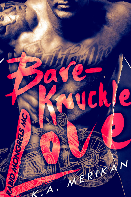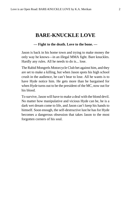## <span id="page-1-0"></span>**BARE-KNUCKLE LOVE**

#### **— Fight to the death. Love to the bone. —**

Jason is back in his home town and trying to make money the only way he knows—in an illegal MMA fight. Bare knuckles. Hardly any rules. All he needs to do is... lose.

The Rabid Mongrels Motorcycle Club bet against him, and they are set to make a killing, but when Jason spots his high school crush in the audience, he can't bear to lose. All he wants is to have Hyde notice him. He gets more than he bargained for when Hyde turns out to be the president of the MC, now out for his blood.

To survive, Jason will have to make a deal with the blond devil. No matter how manipulative and vicious Hyde can be, he is a dark wet dream come to life, and Jason can't keep his hands to himself. Soon enough, the self-destructive lust he has for Hyde becomes a dangerous obsession that takes Jason to the most forgotten corners of his soul.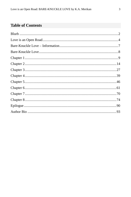### **Table of Contents**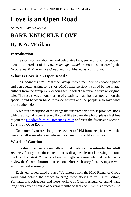# <span id="page-3-0"></span>**Love is an Open Road**

*An M/M Romance series*

## **BARE-KNUCKLE LOVE**

### **By K.A. Merikan**

### **Introduction**

The story you are about to read celebrates love, sex and romance between men. It is a product of the *Love is an Open Road* promotion sponsored by the *Goodreads M/M Romance Group* and is published as a gift to you.

### **What Is Love is an Open Road?**

The *Goodreads M/M Romance Group* invited members to choose a photo and pen a letter asking for a short M/M romance story inspired by the image; authors from the group were encouraged to select a letter and write an original tale. The result was an outpouring of creativity that shone a spotlight on the special bond between M/M romance writers and the people who love what these authors do.

A written description of the image that inspired this story is provided along with the original request letter. If you'd like to view the photo, please feel free to join the [Goodreads M/M Romance Group](http://www.goodreads.com/group/show/20149-m-m-romance) and visit the discussion section: *Love is an Open Road*.

No matter if you are a long-time devotee to M/M Romance, just new to the genre or fall somewhere in between, you are in for a delicious treat.

### **Words of Caution**

This story may contain sexually explicit content and is **intended for adult readers.** It may contain content that is disagreeable or distressing to some readers. The *M/M Romance Group* strongly recommends that each reader review the General Information section before each story for story tags as well as for content warnings.

Each year, a dedicated group of Volunteers from the M/M Romance Group work hard behind the scenes to bring these stories to you. Our Editors, Formatters, Proofreaders, and those working on Quality Assurance, spend many long hours over a course of several months so that each Event is a success. As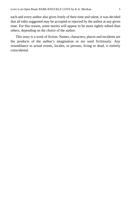each and every author also gives freely of their time and talent, it was decided that all edits suggested may be accepted or rejected by the author at any given time. For this reason, some stories will appear to be more tightly edited than others, depending on the choice of the author.

This story is a work of fiction. Names, characters, places and incidents are the products of the author's imagination or are used fictitiously. Any resemblance to actual events, locales, or persons, living or dead, is entirely coincidental.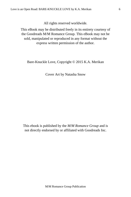All rights reserved worldwide.

This eBook may be distributed freely in its entirety courtesy of the Goodreads M/M Romance Group. This eBook may not be sold, manipulated or reproduced in any format without the express written permission of the author.

Bare-Knuckle Love, Copyright © 2015 K.A. Merikan

Cover Art by Natasha Snow

This ebook is published by the *M/M Romance Group* and is not directly endorsed by or affiliated with Goodreads Inc.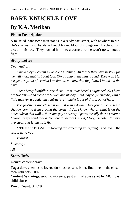## <span id="page-6-0"></span>**BARE-KNUCKLE LOVE**

## **By K.A. Merikan**

### **Photo Description**

A muscled, handsome man stands in a seedy backstreet, with nowhere to run. He'sshirtless, with bandaged knuckles and blood dripping down his chest from a cut on his face. They backed him into a corner, but he won't go without a fight.

### **Story Letter**

*Dear Author,*

*I know they're coming. Someone's coming. And what they have in store for me will make that last bout look like a romp at the playground. They won't let me get away, not after what I've done… not now that they know I found out the truth.*

*I hear heavy footfalls everywhere. I'm outnumbered. Outgunned. All I have are two fists—and those are broken and bloody… but maybe, just maybe, with a little luck (or a goddamned miracle) I'll make it out of this… out of here.*

*The footsteps are closer now… slowing down. They found me. I see a shadow coming from around the corner. I don't know who or what is on the other side of that wall… if it's one guy or twenty. I guess it really doesn't matter. I close my eyes and take a deep breath before I growl, "Hey, asshole…" I take two steps and let my fists fly.*

\*\*Please no BDSM. I'm looking for something gritty, rough, and raw… the rest is up to you.

*Thanks!*

*Sincerely,*

*Ali*

### **Story Info**

**Genre:** contemporary

**Tags:** dark, enemies to lovers, dubious consent, biker, first time, in the closet, men with pets, HFN

**Content Warnings**: graphic violence, past animal abuse (not by MC), past child abuse

**Word Count:** 34,879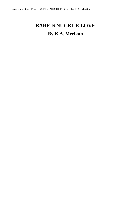# <span id="page-7-0"></span>**BARE-KNUCKLE LOVE By K.A. Merikan**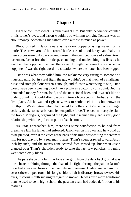### **Chapter 1**

<span id="page-8-0"></span>Fight or die. It was what his father taught him. But only the winners counted in his father's eyes, and Jason wouldn't be winning tonight. Tonight was all about money. Something his father loved almost as much as power.

Blood pulsed in Jason's ears as he drank coppery-tasting water from a bottle. The crowd around him roared battle cries of bloodthirsty cannibals, but their voices were only background noise in the cramped space of a downtown basement. Jason breathed in deep, clenching and unclenching his fists as he watched his opponent across the cage. Though he wasn't sure whether "opponent" was the right word in a situation where the match had been rigged.

Titan was what they called him, the nickname very fitting to someone so huge and ugly, but in a real fight, the guy wouldn't be that much of a challenge. Mass and strength alone weren't enough, and if Jason were trying to win, Titan would have been sweating blood like a pig in an abattoir by this point. But life demanded money for rent, food, and the occasional beer, and it wasn't like an underground fight could affect Jason's future job prospects. If he had any in the first place. All he wanted right now was to settle back in his hometown of Southport, Washington, which happened to be the county's center for illegal activity thanks to its harbor and lenient police force. The local motorcycle club, the Rabid Mongrels, organized the fight, and it seemed they had a very good relationship with the police to pull off such stunts.

As Titan approached him, there was some satisfaction to be had from breaking a law his father had enforced. Jason was on his own, and he would do as he pleased, even if the voice at the back of his mind was waiting to scream at him for not playing by a real man's rules. Titan's scent crawled toward Jason inch by inch, and the man's acne-scarred face tensed up, but when Jason glanced over Titan's shoulder, ready to take the last few punches, his mind went completely blank.

The pale shape of a familiar face emerging from the dark background was like a beacon shining through the fuzz of the fight, through the pain in Jason's bloodied knuckles, from a time much darker than now. Hyde stared at him from across the cramped room, his longish blond hair in disarray, brows low over his eyes, luscious mouth sucking in cigarette smoke. He was even more handsome than he used to be in high school; the past ten years had added definition to his features.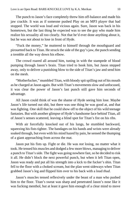The punch to Jason's face completely threw him off-balance and made his jaw crackle. It was as if someone pushed Play on an MP3 player that had stopped. The world was loud and vicious again. Sure, Jason was back in his hometown, but the last thing he expected was to see the guy who made him realize his sexuality all too clearly. Not that he'd ever done anything about it, but he was *not* about to lose in front of Hyde.

"Fuck the money," he muttered to himself through the mouthguard and pirouetted back to Titan. He struck the side of the guy's jaw, the punch sending a tremble all the way down his elbow.

The crowd roared all around him, tuning in with the stampede of blood pumping through Jason's brain. Titan tried to hook him, but Jason stepped away, only to deliver a punishing blow to the side of Titan's jaw and send him on the mesh.

"Motherfucker," mumbled Titan, with bloody spit spilling out of his mouth as he charged at Jason again. But with Titan's movements slow and unfocused, it was clear the power of Jason's last punch still gave him seconds of advantage.

All Jason could think of was the shame of Hyde seeing him lose. Maybe Jason's life turned out shit, but there was one thing he was good at, and that was fighting. One skill that he could show off to the object of his wild teenage fantasies. But with another glimpse of Hyde's handsome face behind Titan, all of Jason's senses scattered, leaving a blind spot for Titan's fist on his ribs.

With air forcefully knocked out of his lungs, he stumbled backward, squeezing his fists tighter. The bandages on his hands and wrists were already soaked through, but even with his mind hazed by pain, he sensed the thumping of a giant approaching from across the mat.

Jason put his fists up. Fight or die. He was *not* losing, no matter what it took. He tensed his muscles and dodged a few more blows, managing to deliver a punch to Titan's side. The fight was going nowhere fast, so he decided to risk it all. He didn't block the next powerful punch, but when it left Titan open, Jason was ready and put all his strength into a kick to the fucker's shin. Titan fell to the floor with a choked scream, but the plan went sideways when Titan grabbed Jason's leg and flipped him over to his back with a loud *thud*.

Jason's muscles tensed reflexively under the beast of a man who pushed him to the floor. Titan's sweat was sharp and penetrated Jason's nose like it was fucking menthol, but at least it gave him enough of a clear mind to move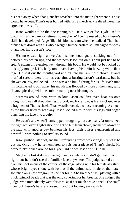his head away when that giant fist smashed into the mat right where his nose would have been. Titan's eyes burned with fury as he clearly realized the earlier agreement was off.

Jason would not be the one tapping out. He'd win or die. Hyde used to watch him at the gym sometimes, so maybe he'd be impressed by how Jason's skills had developed. Rage filled his bloodstream when he realized Titan had pinned him down with his whole weight, but the bastard still managed to sneak in another hit to Jason's face.

His nose was right above Jason's, the mouthguard sticking out from between his beaten lips, and the wetness Jason felt on his chin just had to be spit. A spasm of revulsion went through his body. He would not be fucked by this ugly mongrel. His body took over, leaving his brain buzzing with silent rage. He spat out the mouthguard and bit into the raw flesh above. Titan's muffled scream blew into his ear, almost busting Jason's eardrums, but he chewed on, his jaw locked like he was a pit bull fighting for its life. Each time his victim tried to pull away, his mouth was flooded by more of the sharp, salty flavor, spiced up with the stubble trailing over his tongue.

Screams around them were so loud Jason couldn't even hear his own thoughts. It was all about the flesh, blood, and bone now, as his jaw closed over a fragment of Titan's cheek. Titan was distracted, too busy screaming. As much as the fucker tried to get away, Jason locked him in with his legs and began punching his face into a pulp.

He wasn't sure when Titan stopped struggling, but eventually Jason realized the fight was over. Lights shone bright on him from above, and he was down on the mat, with another guy between his legs, their pulses synchronized and powerful, with nothing to rival its sound.

Jason pushed Titan off, and the surrounding crowd was strangely quiet as he got up. Only now he remembered to spit out a piece of Titan's cheek. He desperately looked around for Hyde. Did he see Jason win? Did he?

Maybe he lost it during the fight and somehow couldn't get the direction right, but he didn't see the familiar face anywhere. The judge stared at him from his spot in one of the corners of the cage, along with his female assistant, whose bright eyes shone with lust, as if the animalistic finale of the match switched on a new program inside her brain. She breathed fast, playing with a thick string of beads that was the only covering for her breasts. She nudged the judge, who immediately went forward, as if her touch broke a spell. The small man took Jason's hand and raised it without locking eyes with him.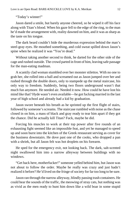"Today's winner!"

Jason dared a smile, but barely anyone cheered, so he wiped it off his face along with Titan's blood. When his gaze fell to the edge of the ring, to the man he'd made the arrangement with, reality dawned on him, and it was as sharp as the taste on his tongue.

The dark beard couldn't hide the murderous expression behind the man's steel-gray eyes. He mouthed something, and cold sweat spilled down Jason's spine when he realized it was "You're dead."

Without taking another second to think, he darted for the other side of the cage and rushed outside. The crowd parted in front of him, leaving safe passage for the man-eating madman.

A scantily clad woman stumbled over her monster stilettos. With no one to grab her, she rolled into a ball and screamed out as Jason jumped over her and rushed through the double doors, only to stampede up the metal staircase, his only way to freedom. Suddenly, being two floors underground wasn't that much fun anymore. He needed air. Needed it now. How could he have lost his mind like that? Hyde wasn't even available—he got fucking married in the last year of high school and already had a kid by graduation.

Jason swore beneath his breath as he sprinted up the first flight of stairs, followed by someone's screams. The staircase rumbled with noise as the chase closed in on him, a mass of black and gray ready to tear him apart if they got the chance. Did he actually kill Titan? Fuck, maybe he did.

Forcing his muscles to work at their top power after five rounds of an exhausting fight seemed like an impossible feat, and yet he managed to speed up and soon burst into the kitchen of the Greek restaurant serving as cover for the business downstairs. He dove past one of the cooks, who dropped a pan with a shriek, but all Jason felt was hot droplets on his forearm.

He sped for the emergency exit, not looking back. The dark, salt-scented night swallowed him into a narrow alleyway between buildings with no windows.

"Get back here, motherfucker!" someone yelled behind him, but Jason was not about to follow the order. Maybe he really was crazy and just hadn't realized it before? He'd lived on the fringe of society for far too long to be sure.

Jason ran through the narrow alleyway, blindly passing trash containers. He could hear the sounds of the traffic, the meowing of stray cats, but nothing was as vivid as the men ready to hunt him down like a wild boar in some stupid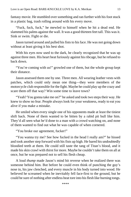fantasy movie. He stumbled over something and ran further with his foot stuck in a plastic bag, trash rolling around with his every move.

"Fuck, fuck, fuck," he mewled to himself when he hit a dead end. He slammed his palms against the wall. It was a good thirteen feet tall. This was it. Sink or swim. Fight or die.

Jason turned around and pulled his fists to his face. He was not going down without at least giving it his best shot.

With his eyes now used to the dark, he clearly recognized that he was up against three men. His heart beat furiously against his ribcage, but he refused to back down.

"You're coming with us!" growled one of them, but the whole group kept their distance.

Jason assessed them one by one. Three men. All wearing leather vests with patches, which could only mean one thing—they were members of the motorcycle club responsible for the fight. Maybe he could play up the crazy and scare them off that way? Win some time to leave town?

"Yeah? You gonna take me on?" he asked and took two steps their way. He knew to show no fear. People always look for your weakness, ready to eat you alive if you make a mistake.

He smiled when every single one of his opponents made at least the tiniest shift back. None of them wanted to be bitten by a rabid pit bull like him. They'd all seen what he'd done to a man with a crowd watching on, and none of them wanted to find out what he was capable of when cornered.

"You broke our agreement, fucker!"

"You wanna try me? See how fucked in the head I really am?" he hissed and took another step forward with his fists up high. He bared his undoubtedly bloodied teeth at them. He could still taste the tang of Titan's blood, and it made his skin crawl with thirst for more. Maybe he couldn't take them on all at once, but he was prepared not to sell his flesh cheap.

A loud *thump* made Jason's mind hit reverse when he realized there was someone behind him. But before he could even think of punching the guy's nose in, his jaw clenched, and every muscle in his body turned into wood. He believed he screamed when he inevitably fell face-first to the ground, but he could be sure of nothing after endless heat tore into his flesh like burning tongs.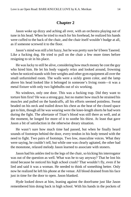### **Chapter 2**

<span id="page-13-0"></span>Jason woke up dizzy and aching all over, with an orchestra playing out of tune in his head. When he tried to reach for his forehead, he realized his hands were cuffed to the back of the chair, and the chair itself wouldn't budge at all, as if someone screwed it to the floor.

Jason's mind was still a bit fuzzy, but he was pretty sure he'd been Tasered. Like a fucking dog. He tried to pull on the chair a few more times before resigning to sit in his place.

He was lucky to still be alive, considering how much money he cost the guy who hired him. He let his body vaguely relax and looked around, frowning when he noticed stands with free weights and other gym equipment all over the small unfurnished room. The walls were a sickly green color, and the lamp above his head looked like it belonged in someone's living room—it was a metal fixture with only two lightbulbs out of six working.

No windows, only one door. This was a fucking trap. Did they want to torture him first? He was a strong guy, but no matter how much he strained his muscles and pulled on the handcuffs, all his efforts seemed pointless. Sweat beaded on his neck and trailed down his chest as the heat of the closed space got to him, though all he was wearing were the knee-length shorts he had worn during the fight. The aftertaste of Titan's blood was still there as well, and at the moment, he longed for more of it to soothe his thirst. At least that gave Jason a bit of satisfaction in the otherwise dreary situation.

He wasn't sure how much time had passed, but when he finally heard sounds of footsteps behind the door, every tendon in his body tensed with the need to fight. Two pairs of footsteps. Two low, masculine voices. What they were saying, he couldn't tell, but while one was clearly agitated, the other had the monotone, relaxed melody Jason learned to associate with stoners.

Jason had his ankles tied to the legs of the chair, so kicking his interrogator was out of the question as well. What was he to say anyway? That he lost his mind because he noticed his high school crush? That wouldn't fly, even if he lied and said it was a woman. He needed to think of something better. Only now he realized he left his phone at the venue. All blood drained from his face just in time for the door to open. Jason blanked.

Hyde looked down at him, leaning against the doorframe just like Jason remembered him doing back in high school. With his hands in the pockets of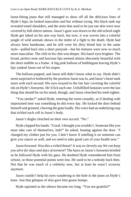loose-fitting jeans that still managed to show off all the delicious lines of Hyde's hips, he looked masculine and hot without trying. His black tank top revealed toned shoulders, and the arms that used to be just tan skin were now covered by full-sleeve tattoos. Jason's gaze was drawn to the old-school eagle Hyde got inked on his arm way back, but now, it was woven into a colorful jungle of wild animals shown in the midst of a fight to the death. Hyde had always been handsome, and he still wore his dirty blond hair in the same style—pulled back into a short ponytail—but his features were now so much more masculine. The cleft in his chin was deeper. His hazel eyes brighter. The broad, perfect nose and luscious lips seemed almost obscenely beautiful with the short stubble as a frame. A big pink balloon of bubblegum leaving Hyde's lips yanked Jason out of his stupor.

The balloon popped, and Jason still didn't know what to say. Hyde didn't seem surprised or bothered by the position Jason was in, and Jason's heart sunk more with each second. His eyes strayed to the fair hair covering the colorful ink on Hyde's forearms. He'd lick each one. Unfulfilled fantasies were the last thing that should be on his mind, though, and Jason clenched his teeth tighter.

"You smoke?" asked Hyde, entering the room casually, as if dealing with imprisoned men was something he did every day. He locked the door behind himself and grinned, chewing the gum loudly. His voice had an underlying rasp that tickled each cell in Jason's body.

Jason's thighs clenched on their own accord. "No."

Hyde clapped his hands. "Good. I thought you wouldn't. Someone like you must take care of themselves, huh?" he asked, leaning against the door. "I changed my clothes just for you. I don't know if smelling it on someone can give you cancer as well, and we need to take good care of your health now."

Jason frowned. Was this a veiled threat? A way to cleverly say *We can keep you alive for days and days of torment*? The hairs on Jason's forearms bristled as he followed Hyde with his gaze. He doubted Hyde remembered him from school, so those potential points were lost. He used to be a nobody back then. Not that he was much of a celebrity now, but at least he wasn't scrawny anymore.

Jason couldn't help his eyes wandering to the hole in the jeans on Hyde's knee. Just that glimpse of skin gave him goose bumps.

Hyde squinted as the silence became too long. "You not grateful?"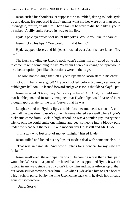Jason curled his shoulders. "I suppose," he mumbled, daring to look Hyde up and down. He supposed it didn't matter what clothes were on a man set to interrogate, torture, or kill him. Then again, if he were to die, he'd like Hyde to be naked. A silly smile forced its way to his lips.

Hyde's pale eyebrows shot up. "I like jokes. Would you like to share?"

Jason licked his lips. "You wouldn't find it funny."

Hyde stepped closer, and his jeans brushed over Jason's bare knee. "Try me."

The flush crawling up Jason's neck wasn't doing him any good as he tried to come up with something to say. "Why am I here?" A change of topic would be a better option, just like distractions were in the cage.

The low, honest laugh that left Hyde's lips made Jason start in his chair.

"Good! That's very good!" Hyde chuckled before blowing yet another bubblegum balloon. He leaned forward and gave Jason's shoulder a playful pat.

Jason groaned. "Okay, okay. Why are *you* here?" Oh, God, he could smell that bubblegum, and instantly imagined that Hyde's lips would taste of it. A thought appropriate for the loser/pervert that he was.

Laughter died on Hyde's lips, and his face became dead serious. A chill went all the way down Jason's spine. He remembered very well where Hyde's nickname came from. Back in high school, he was a popular guy, everyone's friend, only he could smile one minute and beat someone into a bloody pulp under the bleachers the next. Like a modern day Dr. Jekyll and Mr. Hyde.

"I'm a guy who lost a lot of money tonight," hissed Hyde.

Jason stilled and licked his dry lips. "I made a deal with someone else…"

"That was an associate. And now all plans for a new car for my wife are fucked."

Jason swallowed, the anticipation of a hit becoming worse than actual pain would be. Worse still, a part of him hated that he disappointed Hyde. It wasn't logical in any way, since the guy didn't know him and had a wife on top of that, but Jason still wanted to please him. Like when Hyde asked him to get a beer at a high school party, but by the time Jason came back with it, Hyde had already gone off somewhere.

"Um… Sorry?"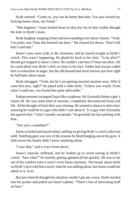Hyde snorted. "Come on, you can do better than that. You just sucked my fucking bones clean, my friend."

"Shit happens." Jason looked down to that tiny bit of skin visible through the hole in Hyde's jeans.

Hyde laughed, stepping closer and now standing over Jason's knees. "Yeah, I'm pretty sure Titan shit himself out there." He cleared his throat. "Don't tell him I said that."

Jason's eyes went wide at the closeness, and he stared straight at Hyde's crotch. This wasn't happening. He glued his back to the chair. "Is he alive?" Breath got trapped in Jason's chest. He couldn't care less if Titan was alive. All he cared about was Hyde's dick so close to his face. Father had always called him a cocksucker in anger, but the old bastard had never known just how right he had been about Jason.

Hyde shrugged. "Yeah, but he's not getting married anytime soon. Who'd want him now, right?" he asked with a wide smile. "Unless you would. From what I could see, you found him quite *delectable*."

Embarrassment swamped Jason like a typhoon. He'd actually bitten a guy's cheek off. He was some kind of monster, completely disconnected from real life. All he thought of back then was winning. He wanted a chance to show how amazing he could be to a guy who didn't care about it. To a guy who'd actually bet *against* him. "I don't usually eat people," he growled, his face pulsing with heat.

"Are you a comedian?"

Jason scowled and stayed silent, settling on giving Hyde's crotch a discreet sniff. Smelling guys was one of the reasons he liked hanging out at the gym. A little secret his family didn't know anything about.

"I saw that," said a voice from above.

Jason's muscles stiffened, and he looked up to avoid staring at Hyde's crotch. "Saw what?" he snarled, getting agitated all too quickly. He was so far out of his comfort zone it wasn't even funny anymore. The broad, mean smile on Hyde's face told him exactly what he was talking about, but Jason would not admit to it. Ever.

But just when he thought his situation couldn't get any worse, Hyde reached into his pocket and pulled out Jason's phone. "There's lots of interesting stuff on here."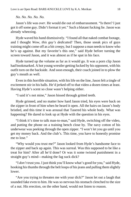*No. No. No. No. No.*

Jason's life was *over*. He would die out of embarrassment. "Is there? I just got it off some guy. Didn't format it yet." Such a blatant fucking lie. Jason was already wheezing.

Hyde waved his hand dismissively. "I found all that naked combat footage, and I thought *Wow, this guy's dedicated!* Then, those sneak pics of guys training might come off as a bit creepy, but I suppose a man needs to know who he's up against. But my favorite's this one," said Hyde before turning the screen toward Jason, and it was almost as if he spat in his face.

Hyde turned up the volume as far as it would go. It was a porn clip Jason had bookmarked. A hot young wrestler getting fucked by his opponent, with his outfit torn on the backside. And soon enough, their coach joined in to plow the guy's mouth as well.

Even in this horrible situation, with his life on the line, Jason felt a tingle of excitement stir in his balls. He'd jerked off to that video a dozen times at least. Having Hyde's scent so close wasn't helping either.

"I said it's not mine," Jason hissed through gritted teeth.

Hyde grinned, and no matter how hard Jason tried, his eyes were back on the zipper in front of him when he heard it open. All the hairs on Jason's body bristled, and this time it was arousal that Tasered his whole body. What was happening? He dared to look up at Hyde with the question in his eyes.

"I think it's time to talk man-to-man," said Hyde, switching off the video, and putting the phone on a training bench close by. The navy cotton of his underwear was peeking through the open zipper. "I won't let you go until you get my money back. And the club's. This time, you have to honestly promise me to lose."

"Why would you trust me?" Jason looked from Hyde's handsome face to the zipper and back up again. This was surreal. Was this supposed to be like a treat for him? After all he'd done? Or was it some twisted punishment in a straight guy's mind—making the fag suck dick?

"I *don't* trust you. I just think you'll know what's good for you," said Hyde, hooking his thumbs through the belt loops of his jeans and pulling them slightly lower.

"Are you trying to threaten me with your dick?" Jason let out a laugh that sounded fake even to him. He was so nervous his stomach clenched to the size of a nut. His erection, on the other hand, would not listen to reason.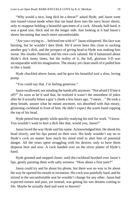"Why would a nice, long dick be a threat?" asked Hyde, and Jason went into tunnel-vision mode when that tan hand dove into the navy boxer shorts, only to reappear holding a beautiful specimen of a cock. Already half-hard, it was a good size, thick and on the longer side. Just looking at it had Jason's shorts becoming that much more uncomfortable.

"Are you t-trying to… befriend me with it?" Jason whispered. His face was burning, but he wouldn't dare blink. He'd never been this close to sucking another guy's dick, and the prospect of giving head to Hyde was making him sweat. His insides fluttered, and his own cock saluted. He'd fantasized about Hyde's dick many times, but the reality of it, the full, glorious 3-D was incomparable with his imagination. The musky yet clean smell of it pulled him in like a leash.

Hyde chuckled above Jason, and he gave his beautiful tool a slow, loving pump.

"You could say that. I'm feeling generous."

Jason swallowed, not minding the handcuffs anymore. "Not afraid I'll bite it off?" As soon as he'd said that, he realized it wasn't the smoothest of jokes after he'd actually bitten a guy's cheek a few hours ago. "I mean…" He took a deep breath, unsure what he meant anymore, too absorbed with that meaty, glistening cockhead in front of him. He didn't expect the warm hand cupping the top of his head.

Hyde petted him gently while quickly readying his tool for work. "I know. You wouldn't want to hurt a dick like that, would you, Jason?"

Jason loved the way Hyde said his name. Acknowledged him. He shook his head slowly, and his lips parted on their own. His body wouldn't say no to Hyde's cock no matter how much his mind tried to alert him of potential danger. All the years spent struggling with his desires, only to have them disperse here and now. A cock handed over on the silver platter of Hyde's hand.

Hyde grunted and stepped closer, until the cockhead brushed over Jason's lips, gently painting them with salty wetness. "How about a first taste?"

Jason could try and lie about his phone, but there was no way to lie about the way he opened his mouth in invitation. His cock was painfully hard, and he stirred in the uncomfortable seat he wouldn't change for any other. Jason had expected torture and pain, yet instead, was getting his wet dreams coming to life. Maybe he actually died and went to heaven?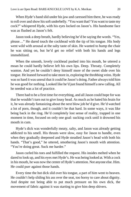When Hyde's hand slid under his jaw and caressed him there, he was ready to roll over and show his soft underbelly. "You want that? You want to taste my cock?" whispered Hyde, with his eyes locked on Jason's. His handsome face was as flushed as Jason's felt.

Jason took a deep breath, hardly believing he'd be saying the words. "Yes, please…" He dared touch the cockhead with the tip of his tongue. His body went wild with arousal at the salty taste of skin. He wanted to hump the chair he was sitting on, but he'd get no relief with both his hands and legs immobilized.

When the smooth, lovely cockhead pushed into his mouth, he uttered a moan he could hardly believe left his own lips. Deep. Throaty. Completely wanton. And yet he couldn't deny himself more of the sweet slide over his tongue. He leaned forward to take more in, exploring the throbbing veins. Hyde was so hard it was unreal that it could be Jason's doing. Father always told him he was good for nothing. Looked like he'd just found himself a new calling. All he needed was a lot of practice.

There had to be a first time for everything, and all Jason could hope for was that he wouldn't turn out to give lousy head. As much as he hated his brain for it, he was already fantasizing about the next blow job he'd give. He'd watched a lot of porn, though, and it couldn't be that hard. In some ways, it was like being back in the ring. He'd completely lost sense of reality, trapped in one moment in time, focused on only one goal: sucking cock until it drowned his mouth in cum.

Hyde's dick was wonderfully meaty, salty, and Jason was already getting addicted to his smell. His thrusts were slow, easy for Jason to handle, even when they gradually deepened and Hyde steadied Jason's head with both his hands. "That's good," he uttered, smothering Jason's mouth with attention. "You're doing great. Suck me harder."

Jason curled his toes and fulfilled the request. His insides melted when he dared to look up, and his eyes met Hyde's. He was being looked at. With a cock in his mouth, he was now the center of Hyde's attention. Not anyone else. Him. He could purr against those hands.

Every time the hot dick slid over his tongue, a part of him went to heaven. He couldn't help sliding his ass over the seat, too horny to care about dignity. And despite not being able to put much pressure on his own dick, the movement of fabric against it was starting to give him deep shivers.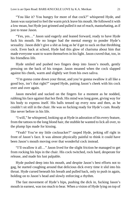"You like it? You hungry for more of that cock?" whispered Hyde, and Jason was surprised to feel the warm prick leave his mouth. He followed it with a low moan, but Hyde just grinned and pulled it out of reach, masturbating, as if just to tease Jason.

"Yes, yes…" Jason said eagerly and leaned forward, ready to have Hyde fuck his mouth. He no longer had the mental energy to ponder Hyde's sexuality. Jason didn't give a shit as long as he'd get to suck on that throbbing cock. Even back at school, Hyde had this glow of charisma about him that made everyone want to warm themselves in his light. Jason craved that, too, in his friendless life.

Hyde smiled and pushed two fingers deep into Jason's mouth, gently pressing on the back of his tongue. Jason moaned when the cock slapped against his cheek, warm and slightly wet from his own saliva.

"I'm gonna come down your throat, and you're gonna swallow it all like a good boy, isn't that right?" rasped Hyde, patting Jason's cheek with his cock over and over again.

Jason mewled and sucked on the fingers for a moment as he nodded, rubbing his face against that hot flesh. His mind was long gone, giving way for his body to express itself. His balls tensed up every now and then, as he couldn't sit still in the chair. He was so fucking ready for Hyde's cum. Ready like never before in his life.

"I will," he whispered, looking up at Hyde in adoration of his every feature, from the tattoos to the long blond hair, the stubble he wanted to lick all over, to the plump lips made for kissing.

"Yeah? You're my little cocksucker?" rasped Hyde, jerking off right in front of Jason's face. It was almost physically painful to think it could have been Jason's mouth moving over that wonderful cock instead.

"I'll swallow it all…" Jason lived for the slight friction he managed to get from rocking his hips in the chair. His cock twitched, rock hard, desperate for release, and made his lust palpable.

Hyde pushed deep into his mouth, and despite Jason's best efforts not to gag, he started coughing around that delicious dick every time it slid into his throat. Hyde cursed beneath his breath and pulled back, only to push in again, holding on to Jason's head and slowly enforcing a rhythm.

The fast movement of Hyde's hips, pushing the dick in, fucking Jason's mouth in earnest, was too much to bear. When a vision of Hyde lying on top of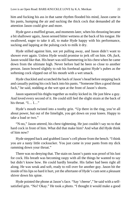him and fucking his ass in that same rhythm flooded his mind, Jason came in his pants, humping the air and sucking the thick cock that demanded all the attention Jason could give and more.

Hyde gave a muffled groan, and moments later, when his thrusting became a bit shallower again, Jason sensed bitter wetness at the back of his tongue. He swallowed, eager to take it all, to make Hyde happy with his performance, sucking and lapping at the pulsing cock to milk it dry.

Hyde stilled against him, not yet pulling away, and Jason didn't want to shower ever again. Unless Hyde would promise to jerk off on him. *Oh, fuck,* Jason would like that. His heart was still hammering in his chest when he came down from the ultimate high. Never before had he been so close to another person. Jason bowed slightly to rub his forehead against Hyde's pubes as the softening cock slipped out of his mouth with a wet smack.

Hyde chuckled and scratched the back of Jason's head before stepping back and casually putting his cock back into his pants. "Someone likes a good throat fuck," he said, nodding at the wet spot at the front of Jason's shorts.

Jason squeezed his thighs together as reality kicked in. He just blew a guy. And loved every second of it. He could still feel the slight strain at the back of his throat. "I… I…"

Hyde's mouth twisted into a toothy grin. "Up there in the ring, you're all about power, but out of the limelight, you get down on your knees. Happy to take a load or two."

"N-no," Jason uttered, his chest tightening. He just couldn't say no to that hard cock in front of him. What did that make him? And what did Hyde think of him now?

Hyde stepped back and grabbed Jason's cell phone from the bench. "I think you are a nasty little cocksucker. You just came in your pants from my dick ramming down your throat."

There was no denying that. The stain on Jason's pants was proof of his lust for cock. His breath was becoming raspy with all the things he wanted to say but didn't know how. He could hardly breathe. His father had been right all along. He was weak and soft, ready to roll over for another guy. Jason bit the inside of his lips so hard it hurt, yet the aftertaste of Hyde's cum sent a pleasant shiver down his spine.

Hyde pointed the phone at Jason's face. "Say 'cheese'," he said with a selfsatisfied grin. "No? Okay." He took a photo. "I thought it would make a good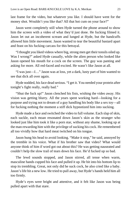last frame for the video, but whatever you like. I should have went for the money shot. Wouldn't you like that? All that hot cum on your face?"

Jason went completely still when Hyde turned the phone around to show him the screen with a video of what they'd just done. He fucking filmed it. Jason let out an incoherent scream and lunged at Hyde, but the handcuffs allowed him little movement. Jason wanted to tear the beautiful bastard apart and feast on his fucking carcass for this betrayal.

"I thought you liked videos where big, strong men get their tonsils oiled up. Was I wrong?" asked Hyde casually, while the alien person who looked like Jason opened his mouth for a cock on the screen. The guy was panting and asking for more. All red-faced and excited. He wasn't like Jason at all.

"I was just—I…" Jason was at loss, yet a dark, lusty part of him wanted to see that dick all over again.

Hyde nodded, his face dead serious. "I get it. You needed your protein after tonight's fight really, really bad."

"Shut the fuck up!" Jason clenched his fists, wishing the video away. His vision was getting blurry. All the years spent working hard—looking for a purpose and trying not to dream of a guy handling his body like a sex toy—all for fucking nothing the moment a stiff dick hypnotized him into sucking.

Hyde made a face and switched the video to full volume. Each slap of skin, each suckle, each moan resonated down Jason's skin as the stranger who looked just like him took it like a porn star, without any shame, looking up at the man rewarding him with the privilege of sucking his cock. He remembered all too vividly how that hard meat twitched on his tongue.

Jason hung his head to avoid looking. "Make it stop," he said, annoyed by the tremble in his voice. What if his brother saw that video? What would anyone think of him if word got out about this? He was getting nauseated and couldn't help the slow trail of tears down his face. He'd fucked up so bad.

The lewd sounds stopped, and Jason stirred, all tense when warm, masculine hands cupped his face and pulled it up. He bit into his bottom lip to stop its trembling. Great, not only did he suck cock, he also cried like a baby. Jason's life hit a new low. He tried to pull away, but Hyde's hands held him all too firmly.

Hyde's eyes were bright and attentive, and it felt like Jason was being pulled apart with that stare.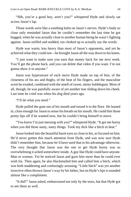"Shh, you're a good boy, aren't you?" whispered Hyde and slowly sat across Jason's lap.

Those words were like a soothing balm on Jason's nerves. Hyde's body so close only reminded Jason that he couldn't remember the last time he got hugged, when he was actually close to another human being he wasn't fighting against. Jason sniffed and nodded, too choked up to actually say the words.

Hyde was warm, less heavy than most of Jason's opponents, and yet he achieved what they could not—he brought Jason all the way down to his knees.

"I just want to make sure you earn that money back for me next week. You'll get the phone back, and you can delete that video if you want. I'm not gonna show it to anyone."

Jason was hyperaware of each move Hyde made on top of him, of the closeness of his ass and thighs, of the heat of his fingers, and the masculine scent he exuded, combined with the smell of sweet, minty bubblegum. Most of all, though, he was painfully aware of yet another tear sliding down his cheek. Last time he cried was when his dog died years ago.

"I'll do what you need."

Hyde pulled the gum out of his mouth and tossed it to the floor. He leaned in, close enough for Jason to sense his breath on his mouth. He could bite those pretty lips off if he wanted now, but he couldn't bring himself to move.

"You know I'm just messing with you?" whispered Hyde. "It got me horny when you did those nasty, nasty things. Took my dick like a bitch in heat."

Jason looked into the beautiful hazel eyes so close to his, so focused on him. He'd never gotten this much attention from Hyde, and was now sure Hyde didn't remember him, because he'd have used that to his advantage otherwise. The very thought that Jason was the one to get Hyde horny was so overwhelming it ached somewhere inside. A guy like Hyde could have anyone. Man or woman. Yet he noticed Jason and gave him more than he could ever wish for. Then again, he also blackmailed him and called him a bitch, which was both maddening and confusingly arousing. "Little bitch" was yet another invective often thrown Jason's way by his father, but on Hyde's lips it sounded almost like a compliment.

"It did?" Jason asked, embarrassed not only by the tears, but that Hyde got to see them as well.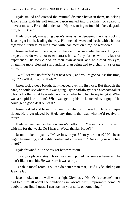Hyde smiled and crossed the minimal distance between them, unlocking Jason's lips with his soft tongue. Jason melted into the chair, too scared to move a muscle. He could understand Hyde wanting to fuck his face, degrade him, but... kiss?

Hyde groaned, massaging Jason's arms as he deepened the kiss, sucking Jason right into it, leading the way. He smelled sweet and fresh, with a hint of cigarette bitterness. "I like a man with lean meat on him," he whispered.

Jason arched into the kiss, out of his depth, unsure what he was doing yet desperate to do well, not to embarrass himself any further with his lack of experience. His toes curled on their own accord, and he closed his eyes, imagining more pleasant surroundings than being tied to a chair in a storage room.

"We'll set you up for the fight next week, and you're gonna lose this time, right? You'll do that for Hyde?"

Jason took a deep breath, light-headed over his first kiss. But through the haze, he could see where this was going. Hyde had always been a smooth talker who had gotten what he wanted no matter what he'd had to say to get it. What was a stupid kiss to him? What was getting his dick sucked by a guy, if he could get a good deal out of it?

Jason nodded and licked his own lips, which still tasted of Hyde's unique flavor. He'd get played by Hyde any time if that was what he'd receive in return.

Hyde grinned and sucked on Jason's bottom lip. "Sweet. You'll move in with me for the week. Do I hear a 'Wow, thanks, Hyde'?"

Jason blinked in panic. "Move in with you? Into your house?" His heart began hammering, and reality crashed into his dream. "Doesn't your wife live there?"

Hyde frowned. "So? She's got her own room."

"I've got a place to stay." Jason was being pulled into some scheme, and he didn't like it one bit. He was sure it was a trap.

"Yeah, a motel room. You can do better than that," said Hyde, sliding off Jason's lap.

Jason looked to the wall with a sigh. Obviously, Hyde's "associate" must had told him all about the conditions in Jason's filthy impromptu home. "I doubt it, but fine. I guess I can stay on your sofa, or something."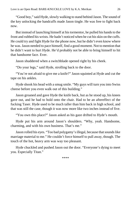"Good boy," said Hyde, slowly walking to stand behind Jason. The sound of the key unlocking the handcuffs made Jason tingle. He was free to fight back now.

But instead of launching himself at his tormentor, he pulled his hands to the front and rubbed his wrists. He hadn't noticed when he cut his skin on the cuffs. He could try and fight Hyde for the phone now, but he didn't even know where he was. Jason needed to pace himself, find a good moment. Not to mention that he didn't want to hurt Hyde. He'd probably not be able to bring himself to hit that handsome face. Ever.

Jason shuddered when a switchblade opened right by his cheek.

"Do your legs," said Hyde, strolling back to the door.

"You're not afraid to give me a knife?" Jason squinted at Hyde and cut the tape on his ankles.

Hyde shook his head with a smug smile. "My guys will turn you into Swiss cheese before you even walk out of this building."

Jason groaned and gave Hyde the knife back, but as he stood up, his knees gave out, and he had to hold onto the chair. Had to be an aftereffect of the fucking Taser. Hyde used to be much taller than him back in high school, and that was still the case, though it was now more like two inches instead of five.

"You own this place?" Jason asked as his gaze drifted to Hyde's mouth.

Hyde put his arm around Jason's shoulders. "Why, yeah. Handsome, charming, and with his own business. That's me."

Jason rolled his eyes. "Too bad polygamy's illegal, because that sounds like marriage material to me." He couldn't force himself to pull away, though. The touch of the hot, heavy arm was way too pleasant.

Hyde chuckled and pushed Jason out the door. "Everyone's dying to meet you. Especially Titan."

\*\*\*\*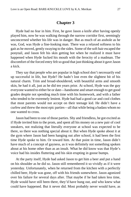#### **Chapter 3**

<span id="page-26-0"></span>Hyde had no fear in him. First, he gave Jason a knife after having openly played him, now he was walking through the narrow corridor first, seemingly unconcerned whether his life was in danger. But as much of an asshole as he was, God, was Hyde a fine-looking man. There was a relaxed softness to his gait as he moved, gently swaying to the sides. Some of the soft hair escaped the ponytail, and Jason felt his skin getting hot when he realized it must have happened when Hyde fucked his mouth with the ferocity of a madman. The discomfort of the forced entry felt so good that just thinking about it gave Jason a kick.

They say that people who are popular in high school don't necessarily end up successful in life, but Hyde? He hadn't lost even the slightest bit of his natural charm. Trim and broad-shouldered, with beautiful arms and smooth skin, he had it all, just as he did ten years prior. At school, Hyde was the guy everyone wanted to either be or date—handsome and smart enough to get good grades despite not spending much time with his homework, and with a father who tended to be extremely lenient. Hyde had had a good car and cool clothes that most parents would not accept on their teenage kid. He didn't have a curfew and threw the most epic parties—all that while being a badass whom no one wanted to cross.

Jason had been to one of those parties. Shy and friendless, he got excited as if Hyde invited him to the prom, and spent all his money on a new pair of cool sneakers, not realizing that literally everyone at school was expected to be there, so there was nothing special about it. But when Hyde spoke about it at the gym where Jason had been hanging out after school, it had been the first time Hyde spoke to him. Or toward him. At that point in time, Jason didn't have much of a concept of gayness, as it was definitely not something spoken about at his home other than as an insult. What he did know was that Hyde's voice had his insides fluttering and his skin erupting in goose bumps.

At the party itself, Hyde had asked Jason to get him a beer and put a hand on his shoulder as he did so. Jason still remembered it so vividly as if it were yesterday. Unfortunately, when he returned from the kitchen with a perfectly chilled beer, Hyde was gone, off with his friends somewhere. Jason agonized over his failure for several days after. That maybe if he had taken less time, Hyde would have still been there, they'd have hung out, and who knew what could have happened. But it never did. Most probably never would have, as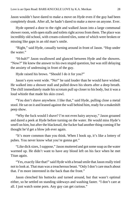Jason wouldn't have dared to make a move on Hyde even if the guy had been completely drunk. After all, he hadn't dared to make a move on anyone. Ever.

Hyde opened a door to the right and walked Jason into a large communal shower room, with open stalls and toilets right across from them. The place was incredibly old school, with cream-colored tiles, some of which were broken or missing like gaps in an old man's smile.

"Right," said Hyde, casually turning around in front of Jason. "Hop under the water."

"H-huh?" Jason swallowed and glanced between Hyde and the showers. "Now?" He knew the answer to his own stupid question, but was still delaying the anxiety of undressing in front of the guy.

Hyde raised his brows. "Should I do it for you?"

Jason's eyes went wide. "No!" he said louder than he would have wished. He walked into a shower stall and pulled down his shorts after a deep breath. The chill immediately made his scrotum pull up closer to his body, but it was a loud whistle that made his skin crawl.

"You don't shave anywhere. I like that," said Hyde, pulling close a metal stool. He sat on it and leaned against the wall behind him, ready for a makeshift peep show.

"Why the fuck would I shave? I'm not even hairy anyway," Jason groaned and dared a peek at Hyde before turning on the water. He would miss Hyde's smell on him, but after the blackmail, the fucker had another thing coming if he thought he'd get a blow job ever again.

"It's more common than you think. When I hook up, it's like a lottery of pubes. You never know what you're gonna get."

"Like dick sizes, I suppose," Jason muttered and got some soap as the water warmed up. He didn't want to have any blood left on his face when he met Titan again.

"Yes, exactly like that!" said Hyde with a broad smile that Jason really tried not to look at. That man was a treacherous beast. "Only I don't care much about that. I'm more interested in the back than the front."

Jason clenched his buttocks and turned around, but that wasn't optimal either, so he settled on standing sideways and washing faster. "I don't care at all. I just watch some porn. Any guy can get curious."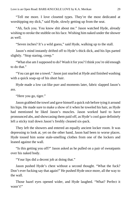"Tell me more. I love closeted types. They're the most dedicated at worshipping my dick," said Hyde, slowly getting up from the seat.

"Ah, fuck you. You know shit about me." Jason watched Hyde, already wishing to stroke the stubble on his face. Wishing him naked under the shower as well.

"Seven inches? It's a wild guess," said Hyde, walking up to the stall.

Jason's mind instantly drifted off to Hyde's thick dick, and his lips parted slightly. "Stop staring, creep."

"What else am I supposed to do? Wash it for you? I think you're old enough to do that."

"You can get me a towel." Jason just snarled at Hyde and finished washing with a quick soap-up of his short hair.

Hyde made a low cat-like purr and moments later, fabric slapped Jason's ass.

"Here you go, tiger."

Jason grabbed the towel and gave himself a quick rub before tying it around his hips. He made sure to make a show of it when he toweled his hair, as Hyde had mentioned he liked Jason's muscles. Jason worked hard to have pronounced abs, and showcasing them paid off, as Hyde's cool gaze definitely left a sticky trail down Jason's freshly cleaned six-pack.

They left the showers and entered an equally ancient locker room. It was depressing to look at, yet on the other hand, Jason had been to worse places. Hyde tossed him some stale-smelling clothes from one of the lockers and leaned against the wall.

"Is this getting you off?" Jason asked as he pulled on a pair of sweatpants over his naked body.

"Your lips did a decent job at doing that."

Jason pushed Hyde's chest without a second thought. "What the fuck? Don't ever fucking say that again!" He pushed Hyde once more, all the way to the wall.

Those hazel eyes opened wider, and Hyde laughed. "What? Perfect it wasn't!"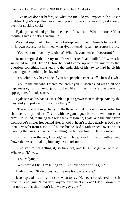"I've never done it before, so what the fuck do you expect, huh?" Jason grabbed Hyde's top. Heat was creeping up his neck. He wasn't good enough even for sucking cock?

Hyde grimaced and grabbed the back of his head. "What the fuck? Your mouth is like a freaking vacuum."

Was that supposed to be some fucked-up compliment? Jason's fist went up on its own accord, but he stilled when Hyde opened his palm to protect his face.

"You want to knock my teeth out? Where's your sense of decorum?"

Jason imagined that pretty mouth without teeth and stilled. How was he supposed to fight Hyde? Before he could come up with an answer to that question, something smashed into the underside of his jaw so hard he bit his own tongue, stumbling backwards.

"You obviously have none if you bite people's cheeks off," hissed Hyde.

"You're the one who Tasered me, aren't you?" Jason asked with a bit of a lisp, massaging his numb jaw. Looked like hitting *his* face was perfectly appropriate. It made sense.

Hyde spread his hands. "It's able to put a grown man to sleep. And by the way, did you just say I took your cherry?"

"There is no fucking 'cherry' in the throat, you dumbass!" Jason curled his shoulders and pulled on a T-shirt with the gym logo, a blue bird with muscular arms. He stilled, realizing this was the very gym he, Hyde, and the other guys from Hyde's circles frequented after school. It hadn't looked nearly as bad back then. It was far from Jason's old home, but he used to rather spend over an hour walking than miss a chance of smelling the faintest hint of Hyde's sweat.

"Right. It's in the ass, I forgot," said Hyde, watching Jason with a deep frown that wasn't making him any less handsome.

"And you're not getting it, so fuck off, and let's just get on with it." Whatever "it" was.

"You're lying."

"Why would I lie? I'm telling you I've never been with a guy."

Hyde sighed. "Ridiculous. You're one hot piece of ass."

Jason spread his arms, not sure what to say. He never considered himself much of a hot guy. "How does anyone even meet anyone? I don't know. I'm not good at this shit. I don't know any gay guys."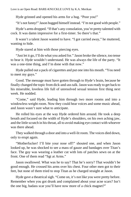Hyde grinned and opened his arms for a hug. "Poor you!"

"It's not funny!" Jason hugged himself instead. "I'm not good with people."

Hyde's arms dropped. "If that's any consolation, you're pretty talented with cock. It was damn impressive for a first-timer. So there's that."

It wasn't a talent Jason wanted to have. "I got carried away," he muttered, wanting to hide.

Hyde stared at him with those piercing eyes.

"Just let it go, I'll do what you asked for." Jason broke the silence, too tense to bear it. Hyde wouldn't understand. He was always the life of the party. "It was a one-time thing, and I'm done with that now."

Hyde pulled out a pack of cigarettes and put one into his mouth. "You need to meet my guys."

Good. The message must have gotten through to Hyde's brain, because he finally changed the topic from dick-and-ass talk. Jason was ready to get back to his miserable, loveless life full of unresolved sexual tension first thing next week. He nodded.

"Come," said Hyde, leading him through two more rooms and into a windowless weight room. Now they could hear voices and some music ahead, and Jason wasn't sure what to anticipate.

He rolled his eyes at the way Hyde ordered him around. He took a deep breath and focused on the width of Hyde's shoulders, on his own aching jaw, and the little scratch in his throat, all to avoid making eye contact with whoever was there ahead.

They walked through a door and into a well-lit room. The voices died down, only to erupt again.

"Motherfucker! I'll bite your nose off!" shouted one, and when Jason looked up, he was shocked to see a mass of gauze and bandages over Titan's face. The guy was wearing a leather cut with lots of patches sewn on at the front. One of them read "Sgt at Arms."

Jason swallowed. What was he to say? That he's sorry? That wouldn't be good enough. He crossed his arms over his chest. Four other men got to their feet, but none of them tried to stop Titan as he charged straight at Jason.

Hyde gave a theatrical sigh. "Come on, it's not like you were pretty before. Remember when you got drunk and complained about your acne scars? Isn't the one big, badass scar you'll have now more of a chick magnet?"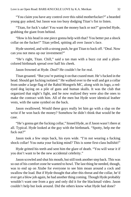"You claim you have any control over this rabid motherfucker?" a bearded young guy asked, but Jason was too busy dodging Titan's fist to listen.

"Titan, for fuck's sake! You want the money back or not?" growled Hyde, grabbing the giant from behind.

"How is his head in one piece gonna help with that? You better put a shock collar on the fucker!" Titan yelled, spitting all over Jason's face.

Hyde snorted, and with a strong push, he got Titan to back off. "Deal. Now can you not mess up our investment?"

"He's right, Titan. Chill," said a tan man with a buzz cut and a plumcolored birthmark spread over half his cheek.

Jason frowned at Hyde. *Deal*? He couldn't be for real.

Titan groaned. "But you're putting it on that crazed mutt. He's fucked in the head. Should get fucking isolated." He walked over to the wall and got a collar from under a large flag of the Rabid Mongrels MC, along with its logo, a redeyed dog laying on a pile of guns and human skulls. It was the club that organized that night's fight, and he now realized they were also the ones to make the contract with him. All of the men but Hyde wore identical leather vests, with the same symbol on the back.

Jason swallowed. Would these guys really let him go with a slap on the wrist if he won back the money? Somehow he didn't think that would be the case.

"He's gonna get the fucking collar," hissed Hyde, as if Jason wasn't there at all. Typical. Hyde looked at the guy with the birthmark. "Spotty, help me the fuck out?"

Jason took a few steps back, his eyes wide. "I'm not wearing a fucking shock collar! You outta your fucking mind? This is some first-class bullshit!"

Hyde gritted his teeth and sent him the glare of death. "You will wear it if you don't want to be the new accidental celebrity."

Jason scowled and shut his mouth, but still took another step back. This was so out of his comfort zone he wanted to howl. The last thing he needed, though, was to end up on Xtube for everyone to see him moan around a cock and swallow the load. But if Hyde thought that after this threat and the collar, he'd ever get a blow job again, he had another thing coming. Though Hyde probably wouldn't want one from a guy and only did it for the blackmail video. Jason couldn't help but look around. Did the others know what Hyde had done?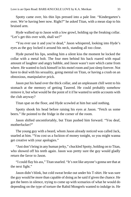Spotty came over, his thin lips pressed into a pale line. "Kindergarten's over. We're having beer now. Right?" he asked Titan, with a mean slap to his bruised arm.

Hyde walked up to Jason with a low growl, holding up the freaking collar. "Let's get this over with, shall we?"

"You ever use it and you're dead," Jason whispered, looking into Hyde's eyes as the guy locked it around his neck, standing all too close.

Hyde pursed his lips, sending him a silent kiss the moment he locked the collar with a metal bolt. The four men behind his back roared with equal amount of laughter and angry babble, and Jason wasn't sure which came from where. He wanted to lock himself in his motel room and just sleep forever. Not have to deal with his sexuality, going mental on Titan, or having a crush on an obnoxious, manipulative prick.

Jason put his hand over the thick collar, and an unpleasant chill went to his stomach at the memory of getting Tasered. He could probably somehow remove it, but what would be the point of it if he wanted to settle accounts with the club anyway?

Titan spat on the floor, and Hyde scowled at him but said nothing.

Spotty shook his head before raising his eyes at Jason. "Fetch us some beers." He pointed to the fridge in the corner of the room.

Jason shifted uncomfortably, but Titan pushed him forward. "You deaf, motherfucker?"

The young guy with a beard, whom Jason already noticed was called Jack, snarled at him. "You cost us a fuckton of money tonight, so you might wanna get creative with your apologies."

"Just don't bring in any human jerky," chuckled Spotty, holding on to Titan, who showed off his teeth again. Jason was pretty sure the guy would gladly return the favor to Jason.

"I could flay his ass," Titan snarled. "It's not like anyone's gonna see that at the next fight."

Jason didn't blink, but cold sweat broke out under his T-shirt. He was sure the guy would be more than capable of doing as he said if given the chance. He got the beers in silence, trying to come up with scenarios of what he would do depending on the type of torture the Rabid Mongrels wanted to indulge in. He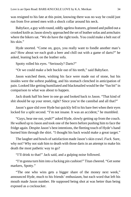was resigned to his fate at this point, knowing there was no way he could just run from five armed men with a shock collar around his neck.

Babyface, a guy with round, oddly ageless features, grinned and pulled out a crooked knife asJason slowly approached the set of leather sofas and armchairs where the bikers sat. "We do have the right tools. You could make a belt out of his skin"

Hyde snorted. "Come on, guys, you really want to fondle another man's ass? How about we each grab a beer and chill out with a game of darts?" he asked, leaning back on the leather sofa.

Spotty rolled his eyes. "Seriously? Darts?"

"Or we could make a belt buckle out of his teeth," said Babyface.

Jason watched them, wishing his face were made out of stone, but his insides were the softest pudding, and his stomach clenched in anticipation of pain. Looked like getting humiliated and blackmailed would be the "fun bit" in comparison to what was about to happen.

Jack drank half his beer in one go and looked back to Jason. "That kind of shit should be up your street, right? Since you're the cannibal and all that?"

Jason's gaze slid over Hyde but quickly fell to his bare feet when their eyes locked for a split second. "I'm not insane. It was an accident," he mumbled.

"Guys, hear me out, yeah?" asked Hyde, slowly getting up from the couch. He walked up to Jason and took one of the beers before pushing him to face the fridge again. Despite Jason's best intentions, the fleeting touch of Hyde's hand burned him through the shirt. "I thought his back would make a great target."

The laugher and howls of satisfaction made Jason's skin crawl. *Fuck.* Sure, why not? Why not stab him to death with those darts in an attempt to make his death the most pathetic way to go?

"I'll drink to that!" Jack said, and a gulping noise followed.

"I'm gonna turn him into a fucking pin cushion!" Titan cheered. "Get some markers, Spotty."

"The one who wins gets a bigger share of the money next week," announced Hyde, much to his friends' enthusiasm, but each word that left his mouth made Jason number. He supposed being shot at was better than being exposed as a cocksucker.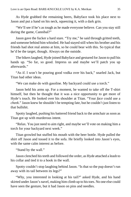As Hyde grabbed the remaining beers, Babyface took his place next to Jason and put a hand on his neck, squeezing it, with a dark grin.

"We'll see if he's as tough as he made everyone believe. Can you stay still during the game, Cannibal?"

Jason gave the fucker a hard stare. "Try me," he said through gritted teeth, and someone behind him whistled. He had stayed still when his brother and his friends had shot real ammo at him, so he could bear with this. So typical that he'd be the target, though. Always on the outside.

The bikers laughed, Hyde joined Babyface and gestured for Jason to pull his hands up. "So far, so good. Impress us and maybe we'll patch you up afterwards."

"As if. I won't be pouring good vodka over his back," snarled Jack, but Titan had other ideas.

"We can make do with gasoline. My backyard could use a torch."

Jason held his arms up. For a moment, he wanted to take off the T-shirt himself, but then he thought that it was a nice opportunity to get more of Hyde's touch. He looked over his shoulder at Titan. "Your *face* could use a *cheek*." Jason knew he shouldn't be tempting fate, but he couldn't just listen to that bullshit.

Spotty laughed, pushing his battered friend back to the armchair as soon as Titan got up with murderous intent.

"Relax. You just need to aim right, and maybe we'll vote on making him a torch for your backyard next week."

Titan growled but stuffed his mouth with the beer bottle. Hyde pulled the shirt off Jason and tossed it to the sofa. He briefly looked into Jason's eyes, with the same calm interest as before.

"Stand by the wall."

Jason clenched his teeth and followed the order, as Hyde attached a leash to his collar and tied it to a hook in the wall.

Spotty couldn't stop laughing behind Jason. "Is that so the pup doesn't run away with its tail between its legs?"

"Why, you interested in looking at his tail?" asked Hyde, and his hand skirted under Jason's navel, making him climb up to his toes. No one else could have seen the gesture, but it had Jason on pins and needles.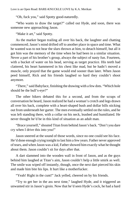"Oh, fuck you," said Spotty good-naturedly.

"Who wants to draw the target?" called out Hyde, and soon, there was someone new approaching Jason.

"Make it art," said Spotty.

As the marker began trailing all over his back, the laughter and chatting commenced; Jason's mind drifted off to another place in space and time. What he wanted was to not hear the slurs thrown at him, to detach himself, but all it got him was the memory of the time when he had been in a similar situation. Never a part of his brother's group, always the subject of nasty fun. Fourteen, with a bucket of water on his head, serving as target practice. His teeth had clattered, his heart hammered in his chest like mad, but he hadn't moved a muscle, only prayed that the game would end sooner than later. When Jason peed himself, Rick and his friends laughed so hard they couldn't shoot anymore.

"There," said Babyface, finishing the drawing with a few dots. "Which hole should be the bull's-eye?"

The other bikers debated this for a second, and from the scraps of conversation he heard, Jason realized he had a woman's crotch and legs drawn all over his back, complete with a heart-shaped bush and dollar bills sticking out from underneath her garter. The men eventually settled on the rules, and he was left standing there, with a collar on his neck, leashed and humiliated. He never thought he'd be in this kind of situation as an adult man.

"Brace yourself," shouted Titan from behind Jason's back. "Don't you dare cry when I drive this into you!"

Jason sneered at the sound of those words, since no one could see his face. He'd done enough crying tonight to last him a few years. Father never approved of tears, and when Jason was a kid, Father showed him exactly what he thought about them. Jason couldn't sit for days after that.

A dart slammed into the wooden wall in front of Jason, and as the guys behind him laughed at Titan's aim, Jason couldn't help a little smirk as well. The smile was wiped off instantly, though, once the next dart pierced his skin and made him bite his lips. It hurt like a motherfucker.

"Yeah! Right in the cunt!" Jack yelled, cheered on by his friends.

"Try to get her in the ass next time," laughed Hyde, and it triggered an unwanted stir in Jason's groin. Now that he'd seen Hyde's cock, he had a hard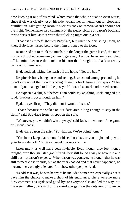time keeping it out of his mind, which made the whole situation even worse, since Hyde was clearly not on his side, yet another tormentor out for blood and humiliation. Like getting Jason to suck his cock on camera wasn't enough for the night. No, he had to also comment on the sleazy picture on Jason's back and throw darts at him, as if it were their fucking night out in a bar.

"That ass is mine!" shouted Babyface, but when the dart stung Jason, he knew Babyface missed before the thing dropped to the floor.

Jason tried not to think too much, but the longer the game lasted, the more his back throbbed, screaming at him to get away. He must have nearly switched off his mind, because the touch on his arm that brought him back to reality came out of nowhere.

Hyde nodded, taking the leash off the hook. "Not too bad."

Despite his body being tense and aching, Jason stood strong, pretending he didn't care about the blood trickling down his back from a few spots. "I bet none of you managed to hit the pussy." He forced a smirk and turned around.

He expected a slur, but before Titan could say anything, Jack laughed out loud. "Fucker's got a mouth on him."

Hyde's eyes lit up. "They did, but it wouldn't stick."

"That's because the spikes on our darts aren't long enough to stay in the flesh," said Babyface from his spot on the sofa.

"Whatever, you wouldn't win anyway," said Jack, the winner of the game on Jason's back.

Hyde gave Jason the shirt. "Put that on. We're going home."

"You better keep that remote for his collar close, or you might end up with your face eaten off," Spotty advised in a serious tone.

Jason might as well have been invisible. Even though they lost money tonight, even though Titan got injured, they still found a way to have fun and chill out—at Jason's expense. When Jason was younger, he thought that he was still to meet close friends, but as the years passed and that never happened, he became increasingly alienated from how other people lived.

As odd as it was, he was happy to be included somehow, especially since it gave him the chance to make a show of his endurance. There were no more dirty comments as Hyde said good-bye to everyone else and led the way into the wet-smelling backyard of the run-down gym on the outskirts of town. A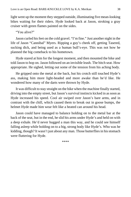light went up the moment they stepped outside, illuminating five mean-looking bikes waiting for their riders. Hyde looked back at Jason, stroking a gray cruiser with green flames painted on the sides.

"You alive?"

Jason curled his feet on the cold gravel. "I'm fine." Just another night in the life of Jason "Cannibal" Myers. Ripping a guy's cheek off, getting Tasered, sucking dick, and being used as a human bull's-eye. This was not how he planned the big comeback to his hometown.

Hyde stared at him for the longest moment, and then mounted the bike and told Jason to hop on. Jason followed on an invisible leash. The bitch seat. How appropriate. He sighed, letting out some of the tension from his aching body.

He gripped onto the metal at the back, but his crotch still touched Hyde's ass, making him more light-headed and more awake than he'd like. He wondered how many of the darts were thrown by Hyde.

It was difficult to stay straight on the bike when the machine finally started, driving into the empty street, but Jason's survival instincts kicked in as soon as Hyde increased his speed. Cool air swiped over Jason's bare arms, and in contrast with the chill, which caused them to break out in goose bumps, the helmet Hyde made him wear felt like a heated can around his head.

Jason could have managed to balance holding on to the metal bar at the back of the seat, but in the end, he slid his arms under Hyde's and held on with a deep exhale. He'd never hugged a man this way, and he could see himself falling asleep while holding on to a big, strong body like Hyde's. Who was he kidding, though? It wasn't just about any man. Those butterflies in his stomach were fluttering for Hyde.

\*\*\*\*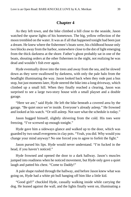### **Chapter 4**

As they left town, and the bike climbed a hill close to the seaside, Jason watched the sparse lights of his hometown. The big, yellow reflection of the moon trembled on the water. It was as if all that happened tonight had been just a dream. He knew where the fishermen's boats were, his childhood house only two blocks away from the harbor, somewhere close to the dot of light emerging from the thick darkness at the shore. Father's ghost probably sat in one of the boats, shouting orders at the other fishermen in the night, not realizing he was dead and wouldn't fish ever again.

Hyde eventually drove into the trees and away from the sea, and he slowed down as they were swallowed by darkness, with only the pale halo from the headlight illuminating the way. Jason looked back when they rode past a bus stop, but just moments later, Hyde steered the bike into a long driveway, which climbed up a small hill. When they finally reached a clearing, Jason was surprised to see a large two-story house with a small playset and a double garage.

"Here we are," said Hyde. He left the bike beneath a covered area by the garage. "Be quiet once we're inside. Everyone's already asleep." He frowned and looked at his watch. "Or still asleep. Not sure what the schedule is today."

Jason hugged himself, slightly shivering from the cold. His toes were freezing. "I've screwed up enough tonight."

Hyde gave him a sideways glance and walked up to the door, which was guarded by two small evergreens in clay pots. "Yeah, you did. Why would you change your mind anyway? No one forced you to agree to forfeit the fight."

Jason pursed his lips. Hyde would never understand. "I'm fucked in the head, if you haven't noticed."

Hyde frowned and opened the door to a dark hallway. Jason's muscles jumped into readiness when he noticed movement, but Hyde only gave a quiet laugh and patted his chest. "Come to Daddy!"

A pale shape rushed through the hallway, and before Jason knew what was going on, Hyde had a white pit bull hanging off him like a little kid.

"Good girl!" chuckled Hyde, casually walking inside while carrying the dog. He leaned against the wall, and the lights finally went on, illuminating a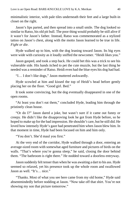minimalistic interior, with pale tiles underneath their feet and a large built-in closet on the right.

Jason's lips parted, and then spread into a small smile. The dog looked so similar to Ratso, his old pit bull. The poor thing would probably be still alive if it wasn't for Jason's father. Instead, Ratso was commemorated as a stylized tattoo on Jason's chest, along with the motto Jason learned to be true in life. *Fight or die*.

Hyde walked up to him, with the dog leaning toward Jason. Its big eyes were wide with curiosity as it loudly sniffed the newcomer. "Heidi likes you."

Jason gasped, and took a step back. He could bet this was a trick to see his vulnerable side. His hands itched to pet the cute muzzle, but the last thing he needed was a reminder of Ratso. Heidi even had the blue eyes his dog had had.

"I… I don't like dogs," Jason muttered awkwardly.

Hyde scowled at him and kissed the top of Heidi's head before gently placing her on the floor. "Good girl. Bed."

It took some convincing, but the dog eventually disappeared in one of the open rooms.

"At least you don't eat them," concluded Hyde, leading him through the pristinely clean house.

"Or do I?" Jason dared a joke, but wasn't sure if it came out funny or creepy. He didn't like the disapproving look he got from Hyde before, so he hoped to make up for the bad impression. He shouldn't care, but he still did. He loved how intensely Hyde's gaze had penetrated him when Jason blew him. In that moment in time, Hyde had been focused on him and him only.

"You don't. She'd maul you first."

At the very end of the corridor, Hyde walked through a door, entering an average-sized room with somewhat aged furniture and pictures of birds on the walls. "That's where you're gonna sleep," he said, closing the door behind them. "The bathroom is right there." He nodded toward a doorless entryway.

Jason suddenly felt tenser than when he was awaiting a dart to his ass. Hyde seemed so relaxed, yet his presence took up the whole room and swallowed Jason as well. "It's… nice."

"Thanks. Most of what you see here came from my old home," Hyde said absentmindedly before nodding at Jason. "Now take off that shirt. You're not showing my son that picture tomorrow."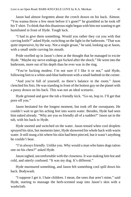Jason had almost forgotten about the crotch drawn on his back. Almost. "You wanna throw a few more before it's gone?" he grumbled as he took off his T-shirt. To think that this disastrous night began with him not wanting to get humiliated in front of Hyde. Tough luck.

"I had to give them something. Would you rather they cut you with that carving knife?" asked Hyde, switching on the light in the bathroom. "That was quite impressive, by the way. Not a single groan," he said, looking up at Jason, with a small smile curving his mouth.

Pride swelled up in Jason's chest at the thought that he managed to excite Hyde. "Maybe my nerve endings got fucked after the shock." He went into the bathroom, more out of his depth than he ever was in the ring.

"You're fucking modest. I'm not sure if I like it or not," said Hyde, following him to a white-and-blue bathroom with a small bathtub in the corner.

"And you're full of yourself, so there's balance in the room." Jason clenched his fists. He was standing in front of the hottest guy on the planet with a pussy drawn on his back. This was not an ideal scenario.

Hyde grinned and gave the tub a friendly kick. "Go on, hop in. I'll get that porn off you."

Jason hesitated for the longest moment, but took off the sweatpants. He couldn't wait to get his aching feet into warm water. Besides, Hyde had seen him naked already. "Why are you so friendly all of a sudden?" Jason sat in the tub, with his back to Hyde.

Hyde snorted and switched on the water. Jason tensed when cool droplets sprayed his skin, but moments later, Hyde showered his whole back with warm water. It still stung a bit where his skin had been pierced, but it wasn't anything he couldn't bear.

"I'm always friendly. Unlike you. Why would a man who hates dogs tattoo one on his chest?" asked Hyde.

Jason sighed, uncomfortable with the closeness. It was making him hot and cold, and utterly confused. "It was my dog. It's different."

Hyde murmured something, and Jason felt something cool spill down his back. Bodywash.

"I suppose I get it. I hate children. I mean, the ones that aren't mine," said Hyde, starting to massage the herb-scented soap into Jason's skin with a washcloth.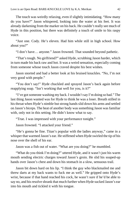The touch was weirdly relaxing, even if slightly intimidating. "How many do you have?" Jason whispered, looking into the water at his feet. It was already darkening from the marker on his back. He couldn't really see much of Hyde in this position, but there was definitely a touch of smile to his raspy voice.

"Just one. Cody. He's eleven. Had him while still in high school. How about you?"

"I don't have… anyone." Jason frowned. That sounded beyond pathetic.

"That's tough. No girlfriend?" asked Hyde, scrubbing Jason harder, which in turn made his back raw and hot. It was a weird sensation, especially coming from someone whose touch Jason craved despite his best wishes.

Jason snorted and had a better look at his bruised knuckles. "No, I'm not very good with people."

"You don't say!" Hyde chuckled and sprayed Jason's back again before reapplying soap. "Isn't working that well for you, is it?"

"I've got someone washing my back. I wouldn't say I'm doing so bad." The last thing Jason wanted was for Hyde to think he was a loser. Breath stilled in his throat when Hyde's nimble but strong hands slid down his arms and settled on Jason's biceps. The heat of another body was something Jason was familiar with, only not in this setting. He didn't know what to say.

"True. I was impressed with your performance tonight."

Jason frowned. "I attacked your friend."

"He's gonna be fine. Titan's popular with the ladies anyway," came in a whisper that warmed Jason's ear. He stiffened when Hyde swirled the tip of his nose over the shell of his ear.

Jason was a fish out of water. "What are you doing?" he mumbled.

"What do you think I'm doing?" uttered Hyde, and it wasn't just his warm mouth sending electric charges toward Jason's groin. He slid his soaped-up hands over Jason's chest and down his stomach in a slow, sensuous trail.

Jason bit down hard on his lip. "I think the guy who blackmailed me and threw darts at my back wants to fuck me as well." He gripped onto Hyde's wrist, because if that hand reached his cock, he wasn't sure if he'd be able to say no, and his resolve shrank that much further when Hyde sucked Jason's ear into his mouth and tickled it with his tongue.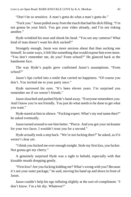"Don't be so sensitive. A man's gotta do what a man's gotta do."

"Fuck you." Jason pulled away from the touch that had his dick filling. "I'm not gonna be your bitch. You got your video already, and I'm not risking another."

Hyde wrinkled his nose and shook his head. "You see any cameras? What kind of man doesn't want his dick sucked?"

Strangely enough, Jason was more anxious about that than sucking one himself. In some ways, it felt like something that would expose him even more. "You don't remember me, do you? From school?" He glanced back at the handsome face.

The way Hyde's pupils grew confirmed Jason's assumptions. "From school?"

Jason's lips curled into a smile that carried no happiness. "Of course you don't. You invited me to your party once."

Hyde narrowed his eyes. "It's been eleven years. I'm surprised you remember *me* if we weren't friends."

Jason slouched and pushed Hyde's hand away. "Everyone remembers you. And I know you're not friendly. You just do what needs to be done to get what you want."

Hyde stared at him in silence. "Fucking expert. What's my real name then?" he asked eventually.

Jason turned around to see him better. "Pierce. And you got your nickname for your two faces. I wouldn't trust you for a second."

Hyde actually took a step back. "We're not fucking then?" he asked, as if it weren't clear yet.

"I think you fucked me over enough tonight. Stole my first kiss, you fucker. Not gonna get my cherry."

A genuinely surprised Hyde was a sight to behold, especially with that kissable mouth dropping gently.

"First kiss? Are you fucking kidding me? What's wrong with you? Because it's not your outer package," he said, moving his hand up and down in front of Jason.

Jason couldn't help his ego inflating slightly at the sort-of-compliment. "I don't know. I'm a bit shy. Whatever!"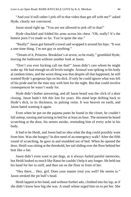"And you'd still rather I jerk off to that video than get off with me?" asked Hyde, clearly not convinced.

Jason stood right up. "You are not allowed to jerk off to that!"

Hyde chuckled and folded his arms across his chest. "Oh, really? It's the hottest porn I've made so far. You're quite the star."

"Really!" Jason got himself a towel and wrapped it around his hips. "It was a one-time thing. I'm not gay or anything."

"Dream of it, Princess. Breakfast's at seven, so be ready," grumbled Hyde, leaving the bathroom without another look at Jason.

"Don't you ever fucking call me that!" Jason didn't care whom he might wake up. He had enough on all levels tonight. Arousal was spiking in his body at random times, and the worst thing was that despite all that happened, he still wanted Hyde's gorgeous lips on his dick. If only he could ignore what was left of his pride and let the man stay with him for the night. But that could involve consequences he wasn't ready for.

Hyde didn't bother answering, and all Jason heard was the click of a door closing. Jason hadn't felt this lost for years. His mind kept drifting back to Hyde's dick, to its thickness, its pulsing veins. It was heaven on earth, and Jason hated wanting it again.

Even when he put on the pajama pants he found in the closet, he couldn't fall asleep, tossing and turning in bed for at least an hour. The moment he heard scratching at the door, his senses awoke, reminding him of every ache in his body.

It had to be Heidi, and Jason had no idea what the dog could possibly want from him. Was she hungry? In dire need of an emergency walk? After the fifth round of scratching, he gave in and stumbled out of bed. When he opened the door, Heidi was sitting at the threshold, her tail sliding over the floor behind her butt like a fan.

Jason didn't even want to pet dogs, as it always fueled painful memories, but Heidi looked so much like Ratso he couldn't help it any longer. He held out his hand for her to sniff, and then sat on the floor in front of her.

"Hey there… Hey, girl. Does your master treat you well? He seems to." Jason stroked the pit bull's head.

Heidi lapped at his hand, and without further ado, climbed into his lap, as if she didn't know how big she was. A small whine urged him on to pet her. She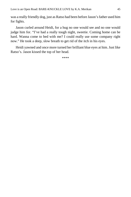was a really friendly dog, just as Ratso had been before Jason's father used him for fights.

Jason curled around Heidi, for a hug no one would see and no one would judge him for. "I've had a really tough night, sweetie. Coming home can be hard. Wanna come to bed with me? I could really use some company right now." He took a deep, slow breath to get rid of the itch in his eyes.

Heidi yawned and once more turned her brilliant blue eyes at him. Just like Ratso's. Jason kissed the top of her head.

\*\*\*\*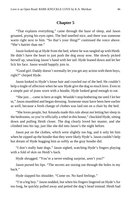# **Chapter 5**

"That explains everything," came through the haze of sleep, and Jason groaned, prying his eyes open. The bed smelled nice, and there was someone warm right next to him. "So that's your thing?" continued the voice above. "She's hairier than me."

Jason looked up at Hyde from the bed, where he was tangled up with Heidi. He didn't have the heart to just push the dog away now. She slowly picked herself up, smacking Jason's hand with her tail. Hyde leaned down and let her lick his face. Jason would happily join in.

"Good girl. Daddy doesn't normally let you get any action with them boys, right?" chirped Hyde.

Jason looked to Hyde's loose hair and crawled out of the bed. He couldn't help a tingle of affection when he saw Hyde give the dog so much love. Even in a simple pair of jeans worn with a hoodie, Hyde looked good enough to eat.

"She just… came in here at night. Wouldn't stop bothering me until I let her in," Jason mumbled and began dressing. Someone must have been here earlier as well, because a fresh change of clothes was laid out on a chair by the bed.

"She loves people, but Amanda made this rule about not letting her sleep in the bedrooms, so you're officially a rebel in this house," chuckled Hyde, sitting down and pulling Heidi closer. The dog clearly loved her master, and she climbed into his lap, just like she did into Jason's the night before.

Jason put on the clothes, which were slightly too big, and it only hit him when he zipped up the hoodie that they were likely Hyde's. Jason couldn't help but dream of Hyde hugging him as softly as the gray hoodie did.

"I don't really hate dogs." Jason sighed, watching Hyde's fingers playing with a fold of skin on Heidi's back.

Hyde shrugged. "You're a never-ending surprise, aren't you?"

Jason pursed his lips. "The secrets are oozing out through the holes in my back."

Hyde slapped his shoulder. "Come on. No hard feelings."

"I'm a big boy." Jason nodded, but when his fingers lingered on Hyde's for too long, he quickly pulled away and petted the dog's head instead. Heidi had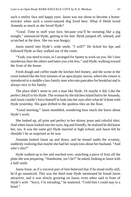such a smiley face and happy eyes. Jason was not about to become a homewrecker when such a sweet-natured dog lived here. What if Heidi loved Amanda as much as she loved Hyde?

"Good. Time to stuff your face, because you'll be sweating like a pig tonight," announced Hyde, getting to his feet. Heidi jumped off, whined, and scratched at the door. She too was hungry.

Jason stared into Hyde's wide smile. "I will?" He licked his lips and followed Hyde as they walked out of the room.

"Yeah, you need to train, so I arranged for Spotty to work on you. He's less murderous than the others and hates you a bit less," said Hyde, walking toward the front of the house.

Fresh dough and coffee made the kitchen feel homey, and the scene in the room looked like the first minutes of an apocalyptic movie, where the viewer is introduced to a middle-class family man who eats pancakes for breakfast and is always nice to his family.

The place didn't seem to suit a man like Hyde. Or maybe it did. Like the perfect Jekyll to his Hyde. The woman by the kitchen island had to be Amanda, and Jason couldn't force himself to look into her eyes after what he'd done with Hyde yesterday. His gaze drifted to the spotless tiles on the floor.

"Good morning," Jason mumbled, wondering how much she knew about Hyde's work.

She looked up, all prim and perfect in her skinny jeans and colorful shirt. And when Jason looked into her eyes, big and friendly, he realized he did know her, too. It was the same girl Hyde married in high school, and Jason felt he shouldn't be as surprised as he was.

Amanda looked Jason up and down, and he tensed under the scrutiny, suddenly realizing that maybe she had her suspicions about her husband. "And who's this?"

Hyde walked up to her and reached over, snatching a piece of fruit off the plate she was preparing. "Handsome, isn't he?" he asked, looking at Jason with a half smile.

Jason froze, as if a visceral part of him believed that if he stood really still, he'd go unnoticed. This was the third time Hyde mentioned he found Jason attractive, and it was slowly growing on Jason, even when said in front of Hyde's wife. "Sorry, I'm intruding," he muttered. "I told him I could stay in a hotel."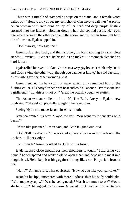There was a rumble of stampeding steps on the stairs, and a female voice called out, "Honey, did you see my cell phone? Can anyone call me?" A pretty Asian woman with twin buns on top of her head and deep purple lipstick stormed into the kitchen, slowing down when she spotted Jason. Her eyes alternated between the other people in the room, and just when Jason felt he'd die of tension, Hyde stepped in.

"Don't worry, he's gay, too."

Jason took a step back, and then another, his brain coming to a complete standstill. "What…? What?" he hissed. "The fuck?" His stomach clenched so hard it hurt.

Hyde rolled his eyes. "Relax. You're in a *very* gay house. I think only Heidi and Cody swing the other way, though you can never know," he said casually, as his wife gave the other woman a kiss.

Jason clenched his hands on his nape, which only reminded him of the fucking collar. His body flushed with heat and cold all at once. Hyde's wife had a girlfriend? "I… this is n-not on." Great, he actually began to stutter.

The Asian woman smiled at him. "Hi, I'm Beth. Are you Hyde's new boyfriend?" she asked, playfully wiggling her eyebrows.

Seeing Hyde nod made Jason close his mouth.

Amanda smiled his way. "Good for you! You want your pancakes with bacon?"

"More like prisoner," Jason said, and Beth laughed out loud.

"God! Tell me about it." She grabbed a piece of bacon and rushed out of the kitchen. "I'll get Cody."

"Boyfriend?" Jason mouthed to Hyde with a frown.

Hyde stepped close enough for their shoulders to touch. "I did bring you home," he whispered and walked off to open a can and deposit the meat in a doggie bowl. Heidi kept brushing against his legs like a cat. He put it in front of her.

"Hello?" Amanda raised her eyebrows. "How do you take your pancakes?"

Jason bit his lips, smothered with more kindness than his body could take. "With maple syrup…?" Was he being needy? Was it too much to ask? Would she hate him? He hugged his own arm. A part of him knew that this had to be a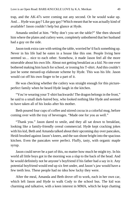trap, and the AK-47s were coming out any second. Or he would wake up. And… Hyde was gay? Like *gay* gay? Which meant that he was actually kind of available? Jason couldn't help but glance at Hyde.

Amanda smiled at him. "Why don't you set the table?" She then showed him where the plates and cutlery were, completely unbothered that her husband had a guy on the side.

Jason took extra care with setting the table, worried he'd fuck something up. Never in his life had he eaten in a house like this one. People living here seemed so… nice to each other. Somehow, it made Jason feel all the more miserable about his own life. About not getting breakfast as a kid. No one ever bothered making him lunch for school, or ironing his T-shirt. And this couldn't just be some messed-up elaborate scheme by Hyde. This was his life. Jason would cut off his own finger to be a part of it.

He was checking whether the cutlery was straight enough for this pictureperfect family when he heard Hyde laugh in the kitchen.

"You're wearing your T-shirt backwards! The dragon belongs in the front," he said to a small dark-haired boy, who looked nothing like Hyde and seemed to have taken all of his looks after his mother.

Beth poured four cups of coffee and stirred cocoa in a colorful mug, before coming over with the tray of beverages. "Made one for you as well."

"Thank you." Jason dared to smile, and they all sat down to breakfast, looking like a family-friendly cereal commercial. Hyde kept cracking jokes with his kid, Beth and Amanda talked about their upcoming day over pancakes, Heidi brushed against Jason's knees, and the sun shone bright into the spacious kitchen. Even the pancakes were perfect. Fluffy, tasty, with organic maple syrup.

Jason could never be a part of this, no matter how much he might try. In his world all little boys got in the morning was a slap to the back of the head. And he would definitely not be anyone's boyfriend if his father had a say in it. Any potential boyfriend would end up six feet under, and Jason's jaw would have a few teeth less. These people had no idea how lucky they were.

After the meal, Amanda and Beth drove off to work, each in her own car, which left Jason and Hyde to walk Cody to the school bus. The kid was charming and talkative, with a keen interest in MMA, which he kept chatting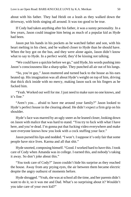about with his father. They had Heidi on a leash as they walked down the driveway, with birds singing all around. It was too good to be true.

If Cody had taken anything after his father, it was a sunny personality. In a few years, Jason could imagine him being as much of a popular kid as Hyde had been.

Jason put his hands in his pockets as he watched father and son, with his heart melting in his chest, and he walked closer to Hyde than he should have. When the boy got on the bus, and they were alone again, Jason didn't know what to say to Hyde. In a perfect world, they'd be kissing not talking.

"We could have a quickie before we go," said Hyde, his words pushing into Jason's consciousness like a sharp spike. They punched all air out of his lungs.

"So, you're gay," Jason muttered and turned back to the house as his ears heated up. His imagination was all about Hyde's weight on top of him, driving that thick dick inside with no mercy, making Jason suck on his fingers as he fucked him.

"Yeah. Worked out well for me. I just need to make sure no one knows, and it's fine."

"Aren't you… afraid to have me around your family?" Jason looked to Hyde's perfect house in the clearing ahead. He didn't expect a firm grip on his shoulder.

Hyde's face was marred by an ugly sneer as he leaned closer, looking down on Jason with malice that was hard to stand. "You try to fuck with what I have here, and you're dead. I'm gonna put that fucking video everywhere and make sure everyone knows how you look with a cock stuffing your face."

Jason pursed his lips and nodded. "I won't. I suppose it's only fair that some people have nice lives. Karma and all that shit."

Hyde snorted, composing himself. "Good. I worked hard to have this. I took care of Cody when Amanda was in college. I earned this, and nobody's taking it away. So don't joke about this."

"*You* took care of Cody?" Jason couldn't hide his surprise as they reached the house. Away from any prying eyes, the air between them became electric despite the angry outburst of moments before.

Hyde shrugged. "Yeah, she was at school all the time, and her parents didn't want to do it, so it was me and Dad. What's so surprising about it? Wouldn't you take care of your own kid?"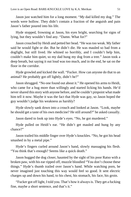Jason just watched him for a long moment. "*My* dad killed my dog." The words were hollow. They didn't contain a fraction of the anguish and pain Jason's father poured into his life.

Hyde stopped, frowning at Jason, his eyes bright, searching for signs of lying, but they wouldn't find any. "Damn. What for?"

Jason crouched by Heidi and petted her head. "He was too weak. My father said he would fight or die. But he didn't die. He was mauled so bad from a dogfight, but still lived. He whined so horribly, and I couldn't help him, couldn't make him quiet, so my dad hung my dog from a tree." Jason took a deep breath, but saying it out loud was too much, and in the end, he sat on the floor in the corridor.

Hyde growled and kicked the wall. "Fucker. How can anyone do that to an animal? He probably got off lightly, didn't he?"

Jason shrugged. "No one found out about it." He opened his arms to Heidi, who came for a hug more than willingly and started licking his hands. He'd never shared this story with anyone before, and he couldn't pinpoint what made him tell it now. Maybe it was the fact that Hyde was gay, so Jason hoped the guy wouldn't judge his weakness as harshly?

Hyde slowly sank down into a crouch and looked at Jason. "Look, maybe he should get a taste of his own medicine? He still around?" he asked casually.

Jason dared to look up into Hyde's eyes. "No, he got murdered."

Hyde pulled on Heidi's ear. "He didn't get mauled and hung by any chance?"

Jason trailed his middle finger over Hyde's knuckles. "No, he got his head smashed in by a metal pipe."

Hyde's fingers curled around Jason's hand, slowly massaging his flesh. "You think that's enough? Seems like a quick death."

Jason hugged the dog closer, haunted by the sight of his poor Ratso with a broken paw, with his ear ripped off, muzzle bloodied "You don't choose these things." Hyde's thumb trailed over Jason's hand. While watching porn, he never imagined just touching this way would feel so good. It sent electric charges up and down his hand, to his chest, his stomach, his face, his groin.

"Fucker got off light, I told you. That's how it always is. They get a fucking fine, maybe a short sentence, and that's it."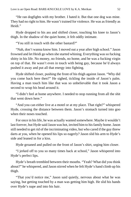"He ran dogfights with my brother. I hated it. But that one dog was mine. They had no right to him. He wasn't trained for violence. He was as friendly as Heidi."

Hyde dropped to his ass and shifted closer, touching his knee to Jason's thigh. In the shadow of the quiet home, it felt oddly intimate.

"You still in touch with the other bastard?"

"Nah, don't wanna know him. I moved out a year after high school." Jason frowned and let Heidi go when she started whining. Everything was so fucking shitty in his life. No money, no friends, no home, and he was a fucking virgin on top of that. He wasn't even in touch with being gay, because he'd always pushed it away and put all that energy into fighting.

Hyde shifted closer, pushing the front of his thigh against Jason. "Why did you come back here then?" He sighed, tickling the inside of Jason's palm. Having a man touch him like that was so unbelievable that it took Jason a second to wrap his head around it.

"I didn't feel at home anywhere. I needed to stop running from all the shit that went down here."

"And you can either live at a motel or at my place. That right?" whispered Hyde, crossing the distance between them. Jason's stomach turned into goo when their noses touched.

For once in his life, he was actually wanted somewhere. Maybe it wouldn't last forever, but Hyde said Jason was hot, invited him to his family home. Jason still needed to get rid of the incriminating video, but who cared if the guy threw darts at you, when he opened his lips so eagerly? Jason slid his arm to Hyde's side and leaned in for a kiss.

Hyde groaned and pulled on the front of Jason's shirt, urging him closer.

"I jerked off to you so many times back at school," Jason whispered into Hyde's perfect lips.

Hyde's breath trembled between their mouths. "Yeah? What did you think about?" he whispered, and Jason stirred when he felt Hyde's hand climb up his thigh.

"That you'd notice me," Jason said quietly, nervous about what he was saying, but getting touched by a man was getting him high. He slid his hands over Hyde's nape and into his hair.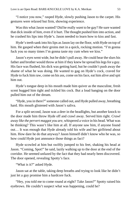"I notice you now," rasped Hyde, slowly pushing Jason to the carpet. His gestures were relaxed but firm, showing experience.

Was this what Jason wanted? Did he really *want* to be gay? He sure wanted that dick inside of him, even if it hurt. The thought pushed him into action, and he crashed his lips into Hyde's. Jason needed to learn how to kiss and fast.

Hyde's teeth sank into his lips as Jason lay on the floor, with Hyde on top of him. He gasped when their groins met in a quick, rocking motion. "I'm gonna fuck you so many times I'm gonna taste my cum when we kiss."

Jason's eyes went wide, but he didn't pull away. He could hear the slurs his father and brother would throw at him if they knew he spread his legs for a guy. His face was flushed, his dick was getting hard, but he couldn't push away the shame of what he was doing. He wanted to gag on Hyde's cock, craved for Hyde to fuck him raw, come on his ass, come on his face, eat him alive and spit him out.

Hyde's tongue deep in his mouth made him quiver as the masculine, fresh scent hugged him tight and tickled his cock. But a loud banging on the door pulled him out of the dream.

"Hyde, you in there?" someone called out, and Hyde pulled away, breathing hard. His mouth glistened with Jason's saliva.

For a split second, Jason was a deer in the headlights, but another knock to the door made him throw Hyde off and crawl away. Served him right. *Crawl away like the pervert maggot you are*, whispered a voice in his head. What was he thinking? This wasn't like him at all. If anyone saw him, if anyone found out… It was enough that Hyde already told his wife and her girlfriend about him. How dare he do that anyway? Jason himself didn't know who he was, so how could Hyde just announce those things as fact?

Hyde scowled at him but swiftly jumped to his feet, shaking his head at Jason. "Coming, Spot!" he said, lazily walking up to the door at the end of the corridor. He seemed unfazed by the fact that they had nearly been discovered. The door opened, revealing Spotty's face.

"What is it?" asked Hyde.

Jason sat at the table, taking deep breaths and trying to look like he didn't just let a guy promise him a hardcore fuck.

"Hey, you told me to come round at eight? Take Jason?" Spotty raised his eyebrows. He couldn't suspect what was happening, could he?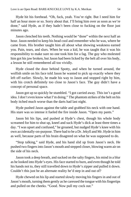Hyde hit his forehead. "Oh, fuck, yeah. You're right. But I need him for half an hour more or so. Sorry about that. I'll bring him over as soon as we're done," said Hyde, as if they hadn't been close to fucking on the floor just minutes ago.

Jason clenched his teeth. Nothing would be "done" within the next half an hour. Jason needed to keep his head cool and remember who he was, where he came from. His brother taught him all about what showing weakness earned you. Pain, tears, and slurs. When he was a kid, he was taught that it was his responsibility to make sure no one took him for a fag. The guy who molested him got his jaw broken, but Jason had been licked by the belt all over his body, a lesson he still remembered all too vividly.

Hyde closed the door behind Spotty, and when he turned around, the wolfish smile on his face told Jason he wanted to pick up exactly where they left off earlier. Slowly, he made his way to Jason and stopped right by him, with his crotch definitely too close to Jason's face. The guy didn't have a concept of personal space.

Jason got up so quickly he stumbled. "I got carried away. This isn't a good idea. I don't even know what I'm doing." The phantom strikes of the belt on his body itched much worse than the darts had last night.

Hyde pushed Jason against the table and grabbed his neck with one hand. His stare was so intense it fueled the fire inside Jason. "Open my pants."

Jason bit his lips, and pushed at Hyde's chest, though his whole body screamed for him to shut up, kneel and suck Hyde's dick at least three times a day. "I was upset and confused," he groaned, but nudged Hyde's knee with his own accidentally-on-purpose. There had to be a Dr. Jekyll and Mr. Hyde in him as well, because parts of his brain disagreed on what he was supposed to do.

"Stop talking," said Hyde, and his hand slid up from Jason's neck. He pushed two fingers into Jason's mouth and stepped closer, blowing warm air on the side of his neck.

Jason took a deep breath, and sucked on the salty fingers, his mind in a blur as he looked into Hyde's eyes. His face started to burn, and even though he told his hands not to, they still travelled down to Hyde's zipper and pulled it down. Couldn't this just be an alternate reality he'd step in and out of?

Hyde chewed on his lip and started slowly moving his fingers in and out of Jason's mouth, turning them gently as he caressed the tongue with his fingertips and pulled on the cheeks. "Good. Now pull my cock out."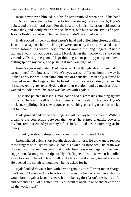Jason never even blinked, but his fingers trembled when he slid his hand into Hyde's pants, taking his time to feel the strong, tense stomach, Hyde's pubes, and the half-hard cock. For the first time in his life, Jason held another man's dick, and it only made him suck harder, bob his head on Hyde's fingers. Jason's flesh crawled with hunger that wouldn't be stifled easily.

Hyde rocked his cock against Jason's hand and pulled him closer, cradling Jason's head against his arm. His eyes were unusually dark as he leaned in and traced Jason's lips where they stretched around the long fingers. "Such a fighter. I want to fuck you so hard I break down that facade you showed us yesterday. During the game, I kept thinking about pulling your pants down, putting spit on my cock, and pushing it into your tight ass."

Jason's eyes went wider. *That* was what Hyde thought about when making casual jokes? The intensity in Hyde's eyes was so different from the way he looked at his son while sneaking him an extra pancake. Jason only realized he moaned around the fingers when he heard his own voice sounding so alien. His fist squeezed tighter over Hyde's throbbing erection, and as much as Jason wanted to look down, his gaze was locked with Hyde's.

The vision painted in Jason's imagination had his own dick straining against his pants. He saw himself biting his tongue, still with a dart in his back, Hyde's thick cock splitting his ass, everyone else watching, cheering on as Jason tried not to moan.

Hyde grunted and pushed his fingers in all the way to the knuckle. Without breaking the connection between their eyes, he started a quick, powerful rhythm, reminiscent of yesterday's face fuck. It had Jason quivering at his mercy.

"I think you should drop to your knees now," whispered Hyde.

Jason inhaled quick, short breaths through his nose. He did want to replace those fingers with Hyde's cock so bad his own dick throbbed. His brain was flooded with sexual imagery that made him powerless against the lewd suggestion. Jason gave the tips of Hyde's fingers a wet kiss when he pulled away to kneel. The addictive smell of Hyde's arousal already teased his nose. He opened his mouth without even being asked for it.

Hyde looked down at him with a wide grin. "You still want me in charge, don't you?" He rocked his hips forward, swaying his cock just enough so it would brush against Jason's cheek. It throbbed against Jason's flesh, beautiful and demanding all of his attention. "You want to open up wide and have me do all the work, right?"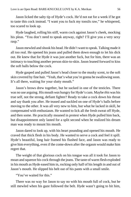Jason licked the salty tip of Hyde's cock. He'd not eat for a week if he got to taste this cock instead. "I want you to fuck my tonsils raw," he whispered, too scared to look up.

Hyde laughed, rolling his stiff, warm cock against Jason's cheek, mocking his pleas. "You don't need to speak anyway, right? I'll give you a very sexy rasp."

Jason mewled and shook his head. He didn't want to speak. Talking made it all too real. He opened his jeans and pulled them down enough to let his dick out. He knew that for Hyde it was just another fuck, but for him, there was an intimacy to touching another person skin-to-skin. Jason leaned forward to kiss the soft balls below the cock.

Hyde gasped and pulled Jason's head closer to the musky scent, to the soft skin covered by fine hair. "Yeah, that's what you're gonna be swallowing soon. It's all there, waiting for your slutty mouth."

Jason's brows drew together, but he sucked in one of the testicles. There was no use arguing. His mouth *was* hungry for Hyde's cum. Maybe *this* was his true self, not the strong, defiant fighter? Ready to take a cock down his throat and say thank you after. He teased and suckled on one of Hyde's balls before moving to the other. It was all very new to him, but what he lacked in skill, he compensated with enthusiasm. He wanted to lick all the fresh sweat off Hyde, and then some. He practically moaned in protest when Hyde pulled him back, but disappointment only lasted for a split second when he realized his dream man was ready to mount his mouth.

Jason dared to look up, with his heart pounding and opened his mouth. He craved that thick flesh in his body. He wanted to serve a cock and feel it spill. Hyde's beautiful, long hair framed his flushed face, and Jason was ready to give him everything, even if the come-down after the orgasm would make him regret that.

The weight of that glorious cock on his tongue was all it took for Jason to moan and squeeze his cock through the jeans. The taste of warm flesh exploded in his mouth as Hyde eased him in, rocking only half of his length in and out of Jason's mouth. He slipped his belt out of his pants with a small smile.

"You've waited for this."

There was no way for Jason to say no with his mouth full of cock, but he still mewled when his gaze followed the belt. Hyde wasn't going to hit him,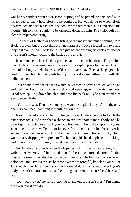was he? A shudder went down Jason's spine, and he petted the cockhead with his tongue to show how pleasing he could be. He was dying to watch Hyde orgasm, see his face tense, feel the cock twitch between his lips and flood his mouth with so much spunk it'd be dripping down his chin. The vision left him close to hyperventilating.

The scent of leather was oddly fitting to the masculine musk coming from Hyde's crotch, but the belt did Jason no harm at all. Hyde folded it in two and looped it over the back of Jason's head just before pushing his cock a bit deeper into Jason's mouth, tickling the back of his throat.

Jason moaned when the dick prodded at the back of his throat. He grabbed onto Hyde's hips, opening up to the cock while kept in place by the belt. If only he could relinquish who he was, he'd do this every day. Even as he gagged, he couldn't wait for Hyde to push his hips forward again, filling him with the delicious heat.

There hadn't ever been a man whom he wanted to serve as much, and so he endured the discomfort, trying to relax and open up, with varying success. Drool was spilling down his chin and onto his neck as Hyde penetrated him ever deeper, faster.

"You're so wet. That how much you want me to give it to you? I'm the only one who can feed that hungry mouth of yours."

Jason moaned and crawled his fingers under Hyde's hoodie to touch the tense stomach. He'd never had a chance to explore another man's body, and he didn't get distracted even as Hyde rode his mouth, his balls slapping against Jason's chin. Tears welled up in his eyes from the push on his throat, yet he sucked for all he was worth. His other hand went down to his own dick, which was already dripping with precum The belt kept his head in place for fucking, and he was in a lustful haze, arousal beading all over his body.

He shuddered violently when Hyde pulled off his hoodie, presenting Jason with a perfect view of his broad, toned chest, the tattooed arms, all that masculine strength on display for Jason's pleasure. The belt was back where it belonged, and Hyde's thrusts became ever more forceful, knocking air out of Jason each time Hyde's cock slammed home. A dark flush spread over Hyde's body, in stark contrast to his usual coloring, as he rode Jason's head hard and fast.

"Don't come yet," he said, pistoning in and out of Jason's lips. "I'm gonna beat you raw if you do!"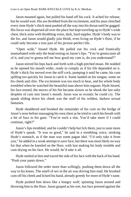Jason moaned again, but pulled his hand off his cock. It ached for release, but he would wait. His ass throbbed from the excitement, and his anus clenched every time Hyde's thick meat pushed all the way into his throat until he gagged. His focus was dispersed all over the place but kept traveling up to Hyde's wide chest, thick arms with throbbing veins, dark, hard nipples. Hyde's body was to die for, and Jason would gladly join Heidi, even living on Hyde's floor, if he could only become a true part of his picture-perfect life.

"Open wide," hissed Hyde. He pulled out his cock and frantically masturbated with only the head resting on Jason's lips. "You're gonna taste all of it, and you're gonna tell me how good my cum is, do you understand?"

Jason stirred his hips back and forth with a high-pitched moan. He nodded as he opened his mouth wider, ready to comply as if his life depended on it. Hyde's thick fist moved over the stiff cock, pumping it until he came, his cum spilling too quickly for Jason to catch it. Some landed on his tongue, some on his cheek and chin. The excitement was too much to bear, and his whole body trembled when he watched the beautiful man above him orgasm. Hyde hissed, his face tensed, the moves of his fist became slower as he shook the last salty droplets of cum into Jason's mouth. Jason was so ecstatic he could cry. The spunk sliding down his cheek was the stuff of his wildest, darkest sexual fantasies.

Hyde shuddered and brushed the remainder of his cum on the bridge of Jason's nose before massaging his own chest as he tried to catch his breath with a bit of fuzz to his gaze. "You're such a slut. You'd take more if I could continue, right?"

Jason's lips trembled, and he couldn't help but lick them, just to taste more of Hyde's spunk. "It was so good," he said in a trembling voice, stroking Hyde's stomach, as if the man was some pagan idol. "I'd only take it from you," he added in a weak attempt to save face, but there was most likely no way for that when he kneeled on the floor, with lust making his body tremble and cum drying on his face. He would, he'd take it all.

Hyde smiled at him and traced the side of his face with the back of his hand. "Push your pants down."

Jason followed the order more than willingly, pushing them down all the way to his knees. The smell of sex in the air was driving him mad. He brushed cum off his cheek and licked his hand, already greedy for more of Hyde's taste.

Hyde pushed him down like a hungry wolf, spinning Jason around and throwing him to the floor. Jason gasped as his wet, hot face pressed against the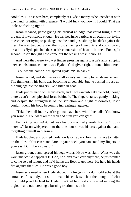cool tiles. His ass was bare, completely at Hyde's mercy as he kneaded it with one hand, grunting with pleasure. "I would fuck you now if I could. That ass looks so fucking tight."

Jason moaned, panic giving his arousal an edge that could bring him to orgasm if it was strong enough. He writhed in no particular direction, not trying to escape, not trying to push against the hand, just sliding his dick against the tiles. He was trapped under the most amazing of weights and could barely breathe as Hyde pinched the sensitive inner side of Jason's buttock. For a split second, Jason thought he'd come but the teasing wasn't enough.

And there they were, two wet fingers pressing against Jason's anus, slipping between his buttocks like it was Hyde's God-given right to touch him there.

"You wanna come?" whispered Hyde. "Push back."

Jason panted, and shut his eyes, all sweaty and ready to finish any second. The tightness in his balls was becoming unbearable, but he pushed his ass up, rubbing against the fingers like a bitch in heat.

Hyde put his hand on Jason's back, and it was an unbreakable hold, though there wasn't much physical force behind it. The fingers started gently rocking, and despite the strangeness of the sensation and slight discomfort, Jason couldn't deny his body becoming increasingly agitated.

"Take them all in, or you're gonna leave here with blue balls. You know you want it. You want all the dick and cum you can get."

He fucking *wanted* it, but was his body actually ready for it? "I don't know…" Jason whispered into the tiles, but stirred his ass against the hand, forgetting himself in pleasure.

Hyde laughed and pushed harder on Jason's back, forcing his face to flatten on the tiles. "You can stand darts in your back, you can stand my fingers up your ass. Don't be a coward."

Jason groaned and spread his legs wider. Hyde was right. What was the worst that could happen? Oh, God, he didn't even care anymore, he just wanted to come so bad it hurt, and he'd hump the floor to get there. He held his hands flat against the tiles. He was a good boy.

Jason screamed when Hyde shoved his fingers in, a dull, odd ache at the entrance of his body, but still, it made his cock twitch at the thought of what this could possibly lead to. Hyde didn't let him rest and started moving the digits in and out, creating a burning friction inside him.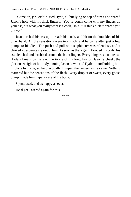"Come on, jerk off," hissed Hyde, all but lying on top of him as he spread Jason's hole with his thick fingers. "You're gonna come with my fingers up your ass, but what you really want is a cock, isn't it? A thick dick to spread you in two."

Jason arched his ass up to reach his cock, and bit on the knuckles of his other hand. All the sensations were too much, and he came after just a few pumps to his dick. The push and pull on his sphincter was relentless, and it choked a desperate cry out of him. As soon as the orgasm flooded his body, his ass clenched and throbbed around the blunt fingers. Everything was too intense. Hyde's breath on his ear, the tickle of his long hair on Jason's cheek, the glorious weight of his body pinning Jason down, and Hyde's hand holding him in place by force, so he practically humped the fingers as he came. Nothing mattered but the sensations of the flesh. Every droplet of sweat, every goose bump, made him hyperaware of his body.

Spent, used, and as happy as ever.

He'd get Tasered again for this.

\*\*\*\*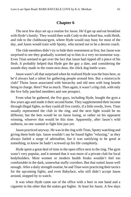### **Chapter 6**

The next few days set up a routine for Jason. He'd get up and eat breakfast with Hyde's family. They would then walk Cody to the school bus, walk Heidi, and ride to the clubhouse/gym, where Hyde would stay busy for most of the day, and Jason would train with Spotty, who turned out to be a decent coach.

The club members didn't try to hide their resentment at first, but Jason was surprised to see they gradually warmed up to him in a very no-nonsense way. Even Titan seemed to get over the fact that Jason had ripped off a piece of his flesh. It probably helped that Hyde got the guy a date, and considering the sounds they made in the room next door, the chick dug battle scars.

Jason wasn't all that surprised when he realized Hyde was the boss here, as he'd always had a talent for gathering people around him. But a motorcycle club? Those Jason associated with hierarchy and old men with long beards being in charge. Here? Not so much. Then again, it wasn't a big club, with only the five fully patched members and one prospect.

From what he gathered, the five guys, including Hyde, bought the gym a few years ago and made it their second home. They supplemented their income through illegal fights, so they could all live comfy, if a little rowdy, lives. Titan usually represented the club in the ring, and the next fight would be no different, but the bets would be on Jason losing, or rather on his opponent winning, whoever that would be this time. Apparently, after Jason's wild outburst, no one wanted to fight him just yet.

Jason practiced anyway. He was in the ring with Titan, Spotty watching and giving them both tips. Jason wouldn't say he found fights "relaxing," as they always fueled a surge of adrenaline, but it was satisfying to be good at something, to know he hadn't screwed up his life completely.

Hyde spent a great deal of time in the open office next to the ring. The gym wasn't very popular, and it seemed that it was more of a private club for local bodybuilders. Most women or modern health freaks wouldn't feel too comfortable in the dark, somewhat stuffy corridors. But that suited Jason well enough. After a daily strength routine, he and Titan were practicing their tactics for the upcoming fights, and even Babyface, who still didn't accept Jason around, stopped by to watch.

It was when Hyde came out of the office with a beer in one hand and a cigarette in the other that the stakes got higher. At least for Jason. A few days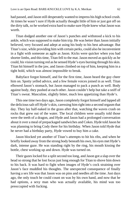had passed, and Jason still desperately wanted to impress his high school crush. At times he wasn't sure if Hyde actually thought little of him or just got off on the dirty talk, so he worked extra hard to make sure Hyde knew what Jason was worth.

Titan dodged another one of Jason's punches and withstood a kick to his ankle, which was supposed to make him trip. He was better than Jason initially believed, very focused and adept at using his body to his best advantage. But Titan's size, while providing him with certain perks, could also be inconvenient in a fight with someone as agile as Jason. Kicks were quicker when you had shorter limbs, and this time, Titan fell to the mat. Jason moved as quickly as he could, his vision turning red as he sensed Hyde's eyes burning through his skin. Titan hit himself in the jaw, and Jason climbed on top of him, keeping him in a tight hold, which was almost impossible to break.

Babyface forgot himself, and for the first time, Jason heard the guy cheer him on. Spotty yelled advice, and a few female voices joined in as well. Titan elbowed Jason's stomach, but Jason managed to pack a punch as well. Body against body, they pushed at each other. Jason couldn't help but take a sniff of Titan's sweat. Masculine, slightly bitter, much less appetizing than Hyde's.

This one time two days ago, Jason completely forgot himself and lapped all the delicious salt off Hyde's skin, caressing him right into a second orgasm that day. They lay half-naked in the grass after that, watching the waves crash on rocks that grew out of the water. The local children were usually told those were the teeth of a dragon, and Hyde and Jason had a prolonged conversation about it over a meal of prepackaged sandwiches and Cokes. Hyde told Jason he was planning to bring Cody there for his birthday. When Jason told Hyde that he never had a birthday party, Hyde vowed to buy him a cake.

Jason blocked yet another of Titan's attempts to hit his ribs, and when he briefly looked away from the strong body beneath his own, his eyes met Hyde's dark, intense gaze. He was standing right by the ring, his mouth kissing the bottle, chest working up and down. Hyde was turned on.

Their gazes locked for a split second too long, and Jason got a slap over the head so strong that he lost focus just long enough for Titan to shove him down to his back. It was hard to fight when images of Hyde's cock straining over Jason's face muddled his thoughts. The unexpected consequence of finally having a sex life was that Jason was on pins and needles all the time. Just days ago, the only touch he could count on was by his own hand, and now that he had options, a sexy man who was actually available, his mind was too preoccupied with fucking.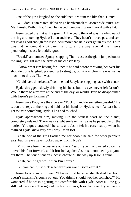One of the girls laughed on the sidelines. "Mount me like that, Titan!"

"Will do!" Titan roared, delivering a harsh punch to Jason's side. "Just. Let. Me. Finish. With. This. One," he rasped, punctuating each word with a hit.

Jason patted the mat with a grunt. All he could think of was crawling out of the ring and sucking Hyde off then and there. They hadn't moved past oral sex, but it was good enough for Jason. Still more than he'd ever got in his life. Truth was that he found it a bit daunting to go all the way, even if the fingers penetrating his ass felt oddly good.

"Break!" announced Spotty, slapping Titan's ass as the giant jumped out of the ring, straight into the arms of his chosen lady.

"I know what I'm having for lunch," he said before throwing her over his shoulder. She laughed, pretending to struggle, but it was clear she was just as much into this as Titan was.

"Could have done better," commented Babyface, stepping back with a snarl.

Hyde shrugged, slowly drinking his beer, but his eyes never left Jason's. Would there be a reward at the end of the day, or would Hyde be disappointed with Jason's performance?

Jason gave Babyface the side eye. "Fuck off and do something useful." He sat on the steps to the ring and held out his hand for Hyde's beer. At least he'd get to taste something Hyde's lips had touched.

Hyde approached him, moving like the sexiest beast on the planet, completely relaxed. There was a slight smile on his lips as he passed Jason the bottle. "You got distracted," he said, and Jason felt his ears heat up when he realized Hyde knew very well why Jason lost.

"Yeah, one of the girls flashed me her boob," he said for other people's ears, but his eyes never looked away from Hyde's.

"Must have been the best one out there," said Hyde in a lowered voice. He moved his foot forward, and it brushed against Jason's, unnoticed by anyone but them. The touch sent an electric charge all the way up Jason's spine.

"Yeah, can't fight well when I'm horny."

"But you can't just fuck whenever you want. Gotta earn it."

Jason took a swig of beer. "I know. Just because she flashed her boob doesn't mean she's gonna put out. You think I should woo her somehow?" He wondered if he wasn't getting too comfortable with Hyde. After all, the guy still had the video. Throughout the last few days, Jason had seen Hyde playing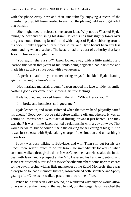with the phone every now and then, undoubtedly enjoying a recap of the humiliating clip. All Jason needed to even out the playing field was to get rid of that bullshit.

"She might need to release some steam later. Why not try?" asked Hyde, taking the beer and finishing his drink. He let his lips sink slightly lower over the glass mouth, flooding Jason's mind with images of Hyde slobbering around his cock. It only happened three times so far, and Hyde hadn't been any less commanding when a sucker. The bastard had this aura of authority that kept Jason in line every single time.

"You sayin' she's a slut?" Jason looked away with a little smirk. He'd learned this week that years of his libido being neglected had backfired and made his sex drive strike back with a vengeance.

"A perfect match to your manwhoring ways," chuckled Hyde, leaning against the ring by Jason's side.

"Not marriage material, though." Jason rubbed his face to hide his smile. Nothing good ever came from showing his true feelings.

Hyde laughed and kicked Jason in the shin. "Who? Her or you?"

"I'm broke and homeless, so I guess me."

Hyde leaned in, and Jason stiffened when that warm hand playfully patted his cheek. "Good boy," Hyde said before walking off, unbothered. It was all getting to Jason's head. Was it actual flirting, or was it just banter? The fuck was that? It wasn't like Jason wanted a relationship with a guy anyway. That would be weird, but he couldn't help the craving for sex eating at his gut. And it was just so easy with Hyde taking charge of the situation and unleashing it upon Jason.

Spotty was busy talking to Babyface, and with Titan still out for his sex lunch, there wasn't much to do for Jason. He immediately looked up when someone walked through the door. It was Coke, the man who sealed the initial deal with Jason and a prospect at the MC. He raised his hand in greeting, and Jason reciprocated, surprised not to see the other members come up with chores for the guy. In a club with as little manpower as the Rabid Mongrels, there was plenty to do for each member. Instead, Jason noticed both Babyface and Spotty gazing after Coke as he walked past them toward the office.

When he'd first seen Coke around, he wondered why anyone would allow others to order them around the way he did, but the longer Jason watched the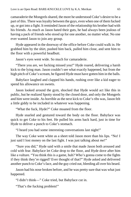camaraderie the Mongrels shared, the more he understood Coke's desire to be a part of this. There was loyalty between the guys, even when one of them fucked up, or got into a fight. It reminded Jason of the relationship his brother had with his friends. As much as Jason hated their guts, he had always been jealous of having a pack of friends who stood up for one another, no matter what. No one ever wanted Jason to join any group.

Hyde appeared in the doorway of the office before Coke could walk in. He grabbed him by the shirt, pushed him back, pulled him close, and sent him to the floor with a powerful headbutt.

Jason's eyes went wide. So much for camaraderie.

"There you are, we fucking missed you!" Hyde roared, delivering a harsh kick to the lying man. Jason couldn't see what exactly happened, but from the high pitch of Coke's scream, he figured Hyde must have gotten him in the balls.

Babyface laughed and clapped his hands, rushing over like a kid eager to spend his allowance on sweets.

Jason looked around the gym, shocked that Hyde would act like this in public, but he realized Spotty stood by the closed door, and only the Mongrels and him were inside. As horrible as the next kick to Coke's ribs was, Jason felt a little giddy to be included in whatever was happening.

"What the fuck, Hyde?" Coke moaned from the floor.

Hyde snarled and gestured toward the body on the floor. Babyface was quick to get Coke to his feet. He pulled his arms back hard, just in time for Hyde to deliver a punch to Coke's stomach.

"I heard you had some interesting conversations last night!"

The way Coke went white as a sheet told Jason more than his lips. "No! I just said I lost money on the last fight. I was just talking about *me*!"

"Sure you did," Hyde said with a smile that made Jason both aroused and cold with fear. Babyface let Coke drop to the floor, and Hyde dove after him like a vulture. "You think this is a game, huh? Who's gonna come to the fights if they think they're rigged? Ever thought of that?" Hyde asked and delivered another punch to Coke's face, and the guy cried out, bleeding all over his beard.

Jason had his nose broken before, and he was pretty sure that was what just happened.

"I didn't think—" Coke tried, but Babyface cut in.

"That's the fucking problem!"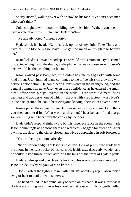Spotty snorted, walking over with a scowl on his face. "We don't need men who don't think."

Coke coughed, with blood dribbling down his chin. "Wait… you need to have a vote about this... Titan and Jack aren't—"

"We already voted," hissed Spotty.

Hyde shook his head. "Get this fuck-up out of my sight. Take Titan, and have his little blonde piggie leave. I've got too much on my plate to babysit her."

Jason licked his lips and stood up. This would be his moment. Hyde seemed distracted enough with the drama, so the phone that was a noose around Jason's neck would be the last thing on his mind.

Jason walked past Babyface, who didn't hesitate to gag Coke with some kind of rag. Jason ignored it and continued to the office, his skin crawling with nervous anticipation. He could hear Titan's voice in the background, and the general commotion gave Jason even more confidence as he entered the small, bleak office with pinups layered on the walls. There were old metal filing cabinets and two desks, one of which—the one with a red laptop—was Hyde's. In the background, he could hear everyone leaving, their voices ever quieter.

Jason opened the cabinet where Hyde stored extra cups and snacks. "I think you need another drink. What was that all about?" he asked and filled a large souvenir mug with beer from the cooler by the door.

Hyde didn't respond right away, but his sheer presence in the room made Jason's skin tingle as he stood there and wordlessly begged for attention. After a while, the door to the office closed, and Hyde approached in soft footsteps.

"You're feeling at home already."

"Nice question dodging." Jason's lip curled. He was pretty sure Hyde kept the phone in the right pocket of his jeans. He let his gaze discreetly wander, and he couldn't stop himself from admiring the bulge at the front of Hyde's pants.

Hyde's palm spread over Jason's back, and his warm body soon molded to Jason's side. "Why do you want to know?"

"Does it affect the fight? I'm in it after all. It's about my rep." Jason took a swig of beer to cool down his nerves.

The hand trailed up his spine, only to settle on his nape. It was almost as if Hyde were putting an arm over his shoulders, at least until Hyde gently pulled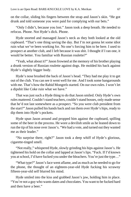on the collar, sliding his fingers between the strap and Jason's skin. "He got drunk and told someone you were paid for complying with our bets."

"Only I didn't, because you lost." Jason took a deep breath. He needed to refocus. Phone. Not Hyde's dick. Phone.

Hyde snorted and massaged Jason's neck as they both looked at the old cupboard. "That's one thing saving the day. But I'm not gonna let some idiot ruin what we've been working for. No one's forcing him to be here. I used to prospect at another club, and I left because it was shit. I thought if I ran one, it would be better. You familiar with Russian roulette?"

"Yeah, what about it?" Jason frowned at the memory of his brother playing a drunk version of Russian roulette against dogs. He molded his back against Hyde's slightly bigger body.

Hyde's nose brushed the back of Jason's head. "They had me play it to get out of the club. You can see it went well for me. And I took some hangarounds with me. That's how the Rabid Mongrels started. On our own rules. I won't let a dipshit like Coke ruin what we have."

That was just such a Hyde thing to do that Jason smiled. Only Hyde's own rules mattered. Couldn't stand teachers, couldn't stand bosses, only made sense that he'd not last somewhere as a prospect. "So you were club president from the start?" Jason pulled his hands back and ran them over Hyde's hips, ready to dip them into Hyde's pockets.

Hyde spun Jason around and propped him against the cupboard, spilling some of the beer in the process. He wore a devilish smile as he leaned down to run the tip of his nose over Jason's. "We had a vote, and turned out they wanted me as their leader."

"No surprise there, right?" Jason took a deep whiff of Hyde's glorious, cigarette-tinged smell.

"Not really," whispered Hyde, slowly grinding his hips against Jason's. He tightened his hold on the collar and lapped at Jason's lips. "Fuck. If I'd known you at school, I'd have fucked you under the bleachers. You're just the type…"

"What type?" Jason's face went aflame, and as much as he needed to go for the phone, the thought of an eighteen-year-old Hyde fucking his scrawny fifteen-year-old self blurred his mind.

Hyde smiled into the kiss and grabbed Jason's jaw, holding him in place. "You're not a guy who wants dates and chocolates. You want to be fucked hard and then have a beer."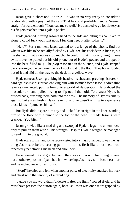Jason gave a short nod. So true. He was in no way ready to consider a relationship with a guy, but the sex? That he could probably handle. Seemed straightforward enough. "You read me so well." He decided to go for flattery as his fingers reached into Hyde's pocket.

Hyde groaned, turning Jason's head to the side and biting his ear. "We're alone. I could fuck you right now. I fucking need it after today…"

"Here?" For a moment Jason wanted to just let go of the phone, find out what it was like to be actually fucked by Hyde, feel his cock deep in his ass, but the shame of that video was too much. He couldn't risk it for anything. In one swift move, he pulled out his old phone out of Hyde's pocket and dropped it into the beer-filled mug. The *plop* resonated in the silence, and Hyde stepped back, staring at the container before knocking it to the floor. The phone flooded out of it and slid all the way to the desk on a yellow wave.

Hyde came at Jason, grabbing his head to his chest and pressing his forearm hard against Jason's throat, choking him with so much force Jason's adrenaline levels skyrocketed, putting him onto a world of desperation. He grabbed the muscular arm and pulled, trying to slip out if the hold. To distract Hyde, he pushed back, crashing them both into the desk. The memory of Hyde's cruelty against Coke was fresh in Jason's mind, and he wasn't willing to experience those kinds of punches himself.

But Hyde didn't spare him any and kicked Jason right in the knee, sending him to the floor with a punch to the top of the head. It made Jason's teeth crackle. "You bitch!"

Jason growled like a mad dog and swooped Hyde's legs into an embrace, only to pull on them with all his strength. Despite Hyde's weight, he managed to send him to the ground.

Hyde roared, his handsome face twisted into a mask of anger. It was the last thing Jason saw before searing pain bit into his flesh like a hot metal rod, repeatedly penetrating his neck and shoulders.

He screamed out and grabbed onto the shock collar with trembling fingers, but another explosion of pain had him wheezing. Jason's vision became a blur, and he inched away on all fours.

"Stop!" he cried and fell when another pulse of electricity attacked his neck and chest with the ferocity of a rabid dog.

"I gave you my word that I'd delete it after the fight," roared Hyde, and he must have pressed the button again, because Jason was once more gripped by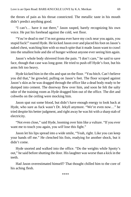the throes of pain as his throat constricted. The metallic taste in his mouth didn't predict anything good.

"I can't… have it out there," Jason rasped, barely recognizing his own voice. He put his forehead against the cold, wet floor.

"You're dead to me! I'm not gonna ever have my cock near you again, you stupid fuck!" roared Hyde. He kicked Jason over and placed his foot on Jason's naked chest, watching him with so much spite that it made Jason want to crawl into the smallest hole and die of hunger without anyone ever seeing him again.

Jason's whole body shivered from the pain. "I don't care," he said to save face, though that case was long gone. He tried to push off Hyde's foot, but his arms felt too heavy.

Hyde kicked him in the ribs and spat on the floor. "You bitch. Can't believe you did that," he growled, pulling on Jason's feet. The floor scraped against Jason's skin as he was dragged through the office like a dead body ready to be dumped into cement. The doorway flew over him, and soon he felt the salty odor of the training room as Hyde dragged him out of the office. The dirt and cobwebs on the ceiling were mocking him.

Jason spat out some blood, but didn't have enough energy to look back at Hyde, who sure as fuck wasn't Dr. Jekyll anymore. "We're even now…" he tried despite his better judgment, and right away he was hit with a sharp stab of electricity.

"Not even close," said Hyde, looming over him like a vulture. "If you ever want me to touch you again, you *will* lose this fight."

Jason let his lips spread into a wide smile, "Yeah, right. Like you can keep your hands off me." He clenched his fists, readying for another shock, but it didn't come.

Hyde snorted and walked into the office. "Do the weights while Spotty's out," he said before shutting the door. His laughter was worse than a kick in the teeth.

Had Jason overestimated himself? That thought chilled him to the core of his aching flesh.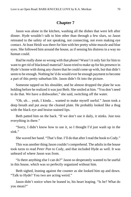## **Chapter 7**

Jason was alone in the kitchen, washing all the dishes that were left after dinner. Hyde wouldn't talk to him other than through a few slurs, so Jason retreated to the safety of not speaking, not connecting, not even making eye contact. At least Heidi was there for him with her pretty white muzzle and blue eyes. She followed him around the house, as if sensing his distress in a way no human could.

Had he really done so wrong with that phone? Wasn't it only fair for him to want to get rid of blackmail material? Jason tried to make up for his presence in Hyde's home with doing any chores that he could come up with, but that didn't seem to be enough. Nothing he'd do would ever be enough payment to become a part of this pretty suburban life. Jason didn't fit into the picture.

Someone tapped on his shoulder, and he almost dropped the plate he was holding before he realized it was just Beth. She smiled at him. "You don't need to do that. We have a dishwasher," she said, switching off the water.

"Oh, uh… yeah, I kinda… wanted to make myself useful." Jason took a deep breath and put away the cleaned plate. He probably looked like a thug with the black eye and bruise-stained lips.

Beth patted him on the back. "If we don't use it daily, it stinks. Just toss everything in there."

"Sorry, I didn't know how to use it, so I thought I'd just wash up in the sink."

She waved her hand. "That's fine. I'll do that after I read the book to Cody."

This was another thing Jason couldn't comprehend. The adults in the house took turns to read *Peter Pan* to Cody, and that included Hyde as well. It was unheard of where Jason was from.

"Is there anything else I can do?" Jason so desperately wanted to be useful in this house, which was so perfectly organized without him.

Beth sighed, leaning against the counter as she looked him up and down. "Talk to Hyde? You two are acting weird."

Jason didn't notice when he leaned in, his heart leaping. "Is he? What do you mean?"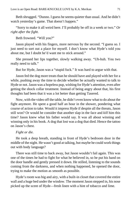Beth shrugged. "Dunno. I guess he seems quieter than usual. And he didn't watch yesterday's game. That doesn't happen."

"Sorry to make it all weird here. I'll probably be off in a week or two." *Or right after the fight*.

Beth frowned. "Will you?"

Jason played with his fingers, more nervous by the second. "I guess so. I just need to sort out a place for myself. I don't know what Hyde's told you about me, but I doubt he'd want me to stick around."

She pressed her lips together, slowly walking away. "Uh-huh. You two really need to talk."

But for Hyde, Jason was a "stupid fuck." It was hard to argue with that.

Jason fed the dog more treats than he should have and played with her for a while, pushing away the time to decide whether he actually wanted to talk to Hyde or not. Jason was a hopeless pup, wishing for Hyde's attention, even after getting the shock collar treatment. Instead of being angry about that, his first thoughts had been that it was a lot better than getting Tasered.

Now, with the video off the table, he didn't even know what to do about the fight anymore. He spent a good half an hour in the shower, pondering what course of action to take. Would it impress Hyde if despite all the threats, Jason still won? Or would he consider that another slap in the face and *kill* him this time? Jason knew what his father would say. It was all about winning and winning only in his book. A dog that lost was a dog that died. Hence the tattoo on Jason's chest.

#### *Fight or die.*

He took a deep breath, standing in front of Hyde's bedroom door in the middle of the night. He wasn't good at talking, but maybe he could work things out with body language?

There was still time to back away, but Jason wouldn't fail again. This was one of the times he had to fight for what he believed in, so he put his hand on the door handle and gently pressed it down. He stilled, listening to the sounds coming from the darkness, and when nothing happened, he opened the door, trying to make the motion as smooth as possible.

Hyde's room was big and airy, with a built-in closet that covered the entire wall and a huge bed under the window. The moment Jason stepped in, his nose picked up the scent of Hyde—fresh linen with a hint of tobacco and lime.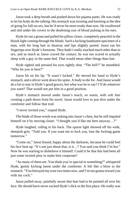Jason took a deep breath and pushed down his pajama pants. He was ready to let his body do the talking. His stomach was twisting and knotting at the idea of going for full-on sex, but he'd never be more ready than now. He swallowed and slid under the covers to the deafening roar of blood pulsing in his ears.

Hyde let out a groan and pulled his pillow closer, completely peaceful in the bluish light coming through the blinds. Such a fucking handsome specimen of a man, with his long hair in disarray and lips slightly parted. Jason ran his fingertips over Hyde's forearms. They hadn't really touched much other than in sex, and as much as Jason craved the contact, he was too scared to actually sleep with a guy in the same bed. That would mean other things than lust.

Hyde sighed and pressed his eyes tightly shut. "The hell?" he mumbled. "Who let you in here?"

Jason bit on his lip. "It wasn't locked." He moved his hand to Hyde's stomach, and a shiver went down his spine. A body to die for. And Jason would do a lot to stay in Hyde's good graces, but what was he to say? *I'll do whatever you want*? That would not put him in a good position.

Hyde's stomach moved under Jason's touch, so warm, with soft hair creating a path down from his navel. Jason would love to just dive under the comforter and follow that trail.

"I never invited you," rasped Hyde.

The blade of those words was sinking into Jason's chest, but he still impaled himself on it by moving closer. "I thought you'd like me here anyway...?"

Hyde laughed, rolling to his back. The sparse light showed off his wide, sheepish grin. "Told you. If you want me to fuck you, lose the fucking game tomorrow."

"Come on," Jason hissed, happy about the darkness, because he could feel his face heat up. "It's not just about that, is it...? You said you think I'm hot." Now he was starting to disbelieve it himself. Could it be that this had been all just some twisted ploy to make him cooperate?

"As many of them are. You think you're special or something?" whispered Hyde, gently kicking Jason under the comforter. It felt like a blow to the stomach. "You betrayed my trust two times now, and I'm not gonna reward you with my cock."

Jason pulled away, painfully aware that hurt had to be painted all over his face. He should have never sucked Hyde's dick in the first place. He really was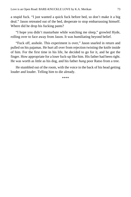a stupid fuck. "I just wanted a quick fuck before bed, so don't make it a big deal." Jason retreated out of the bed, desperate to stop embarrassing himself. Where did he drop his fucking pants?

"I hope you didn't masturbate while watching me sleep," growled Hyde, rolling over to face away from Jason. It was humiliating beyond belief.

"Fuck off, asshole. This experiment is over," Jason snarled in return and pulled on his pajamas. He hurt all over from rejection twisting the knife inside of him. For the first time in his life, he decided to go for it, and he got the finger. How appropriate for a loser fuck-up like him. His father had been right. He was worth as little as his dog, and his father *hung* poor Ratso from a tree.

He stumbled out of the room, with the voice in the back of his head getting louder and louder. Telling him to die already.

\*\*\*\*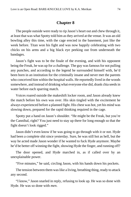#### **Chapter 8**

The people outside were ready to rip Jason's heart out and chew through it, at least that was what Spotty told him as they arrived at the venue. It was an old bowling alley this time, with the cage erected in the basement, just like the week before. Titan won his fight and was now happily celebrating with two chicks on his arms and a big black eye peeking out from underneath the bandages.

Jason's fight was to be the finale of the evening, and with his opponent being the Freak, he was up for a challenge. The guy was famous for not pulling any punches, and according to the legend he surrounded himself with, he'd been born in an institution for the criminally insane and never met the parents who conceived him within the hospital walls. He reportedly lived in the woods somewhere, and instead of drinking what everyone else did, drank chia seeds in water before each sparring match.

Voices roared outside the makeshift locker room, and Jason already knew the match before his own was over. His skin tingled with the excitement he always experienced before a planned fight. His chest was hot, yet his mind was slowing down, prepared for the rapid thinking required in the cage.

Spotty put a hand on Jason's shoulder. "He might be the Freak, but you're the Cannibal, right? You just need to stay up there for long enough so that the fight doesn't look rigged."

Jason didn't even know if he was going to go through with it or not. Hyde had been a complete shit since yesterday. Sure, he was still hot as hell, but the way he acted made Jason wonder if he wanted to fuck Hyde anymore. Maybe he'd be better off winning the fight, showing Hyde the finger, and running off?

The door opened, and Hyde marched in, as if called over by an unexplainable power.

"Five minutes," he said, circling Jason, with his hands down his pockets.

The tension between them was like a living, breathing thing, ready to attack any second.

"I know," Jason snarled in reply, refusing to look up. He was so done with Hyde. He was so done with *men*.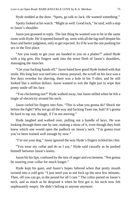Hyde nodded at the door. "Spots, go talk to Jack. He wanted something."

Spotty looked at his watch. "Might as well. Good luck," he said, with a slap to Jason's shoulder.

Jason just groaned in reply. The last thing he wanted was to be in the same room with Hyde. He'd opened himself up, went with all the fag stuff despite his fears and better judgment, only to get rejected. As if *he* was the one pushing for sex in the first place.

"Are you ready to get your ass handed to you on a platter?" asked Hyde with a big grin. His fingers sank into the tense flesh of Jason's shoulders, massaging the muscles.

"Get your fucking hands off." Jason hated how good Hyde looked with that smile. His long hair was tied into a messy ponytail, the scruff on his face was a few days overdue for shaving, there was a hole in his T-shirt, and he still looked like a million dollars. Jason wanted to win the fight just to wipe that pretty smile off his face.

"You chickening out?" Hyde walked away, but Jason stilled when he felt a tingle of electricity around his neck.

Jason curled his fingers into fists. "This is what you gonna do? Shock me before the fight? Why not go all the way and fucking Taser me, huh? It's gonna be hard to tap out, though, if I'm not moving."

Hyde laughed and walked over, pulling out a bundle of keys. He was looking through them one by one, making a show of it, even though they both knew which one would open the padlock on Jason's neck. "I'm gonna trust you've been trained well enough by now."

"I'm not your dog." Jason ignored the way Hyde's fingers tickled his chin.

"You wear my collar and do as I say," Hyde said casually as he pushed himself between Jason's knees.

Jason bit his lips, confused by the mix of anger and excitement. "Not gonna be wearing your collar for much longer."

Hyde kept his gaze, and Jason's hopes faltered when that pretty mouth twisted into a cold grin. "I just need you to not fuck up the next few minutes. Then, off you can go, to the pound for all I care." The collar parted on Jason's neck, and as much as he despised it when he first got it, his neck now felt unpleasantly empty. He didn't belong to anyone anymore.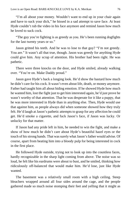"I'm all about your money. Wouldn't want to end up in your chair again and have to suck your dick," he hissed in a sad attempt to save face. At least Hyde couldn't rub the video in his face anymore and remind Jason how much he loved to suck cock.

"The guy you're fighting is as greedy as you. He's been running dogfights for the last twenty years or so."

Jason gritted his teeth. And he was to lose to that guy? "I'm not greedy. You are." It wasn't all that true, though. Jason was greedy for anything Hyde could give him. Any scrap of attention. His brother had been right. He was pathetic.

There were three knocks on the door, and Hyde smiled, already walking over. "You're on. Make Daddy proud."

Jason gave Hyde's back a longing look. He'd show the bastard how much he didn't care for his cock. It wasn't even about life, death, or money anymore. Father had taught him all about hiding emotion. If he showed Hyde how much he wanted him, lost the fight just to get him interested again, he'd just prove he wasn't worthy of that attention. That he was desperate for it like a puppy, that he was more interested in Hyde than in anything else. Then, Hyde would use that against him, as people always did when someone showed how they truly felt. He'd laugh at Jason's pathetic attempts to grasp for any affection he could get. He'd smoke a cigarette, and fuck Jason's face, if Jason was lucky. Or unlucky for that matter.

If Jason had any pride left in him, he needed to win the fight, and make a show of how much he didn't care about Hyde's beautiful hazel eyes or the touch of his strong hands. That was surely what Jason's father would advise. Of course, apart from beating him into a bloody pulp for being interested in cock in the first place.

He followed Hyde outside, trying not to look up into the countless faces, hardly recognizable in the sharp light coming from above. The noise was so loud, he felt like his eardrums were about to bust, and he smiled, thinking how ridiculously off-balanced that would make him. He'd lose, just like Hyde wanted.

The basement was a relatively small room with a high ceiling. Steep bleachers wrapped around all four sides around the cage, and the people gathered made so much noise stomping their feet and yelling that it might as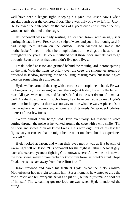well have been a league fight. Keeping his gaze low, Jason saw Hyde's sneakers rush over the concrete floor. There was only one way left for Jason. He followed the club patch on the back of Hyde's cut as he climbed the tiny wooden stairs that led to the cage.

His opponent was already waiting. Taller than Jason, with an ugly scar parting his face in two, Freak took a swig of water and put in his mouthguard. It had sharp teeth drawn on the outside. Jason wanted to smash the motherfucker's teeth in when he thought about all the dogs the bastard hurt throughout the years. He knew firsthand what those poor animals had to go through. Even the ones that won didn't live good lives.

Freak looked at Jason and grinned behind the mouthguard, before spitting on the mat. With the lights so bright over the cage, the silhouettes around it drowned in shadow, merging into one bulging, roaring mass, but Jason's eyes were on something else altogether.

Hyde walked around the ring with a cordless microphone in hand. He was looking around, not speaking yet, and the longer it lasted, the more the tension rose. All eyes were on him, and Jason's drifted to the wet dream of a man as well. Maybe if Jason wasn't such a loser, he'd have been able to keep Hyde's attention for longer, but there was no way to hide what he was. A piece of shit from nowhere, with no money, no home, and dirty needs. No wonder Hyde lost interest after a few fucks.

"We're almost done here," said Hyde eventually, his masculine voice cutting through the noise as he walked around the cage with a wild smile. "I'll be short and sweet. You all know Freak. He's won eight out of his last ten fights, so you can see that he might be the older one here, but his experience pays off."

Hyde looked at Jason, and when their eyes met, it was as if a beacon of warm light fell on Jason. "His opponent for the night is Pitbull. A local guy, back after several years of fighting God-knows-where. And while he is new to the local scene, many of you probably know him from last week's stunt. Hope Freak keeps his ears away from those firm jaws."

Jason frowned and bared his teeth at Hyde. What the fuck? *Pitbull*? Motherfucker had no right to name him! For a moment, he wanted to grab the mic himself and tell everyone he was no pit bull, but he'd just make a fool out of himself. The screaming got too loud anyway when Hyde mentioned the biting.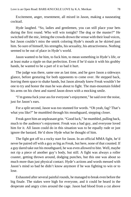Excitement, anger, resentment, all mixed in Jason, making a nauseating cocktail.

Hyde laughed. "So, ladies and gentlemen, you can still place your bets during the first round. Who will win tonight? The dog or the master?" He switched off the mic, letting the crowds drown the venue with their loud voices, but Jason couldn't miss the smirk coloring Hyde's mouth as he skirted past him. So sure of himself, his strengths, his sexuality, his attractiveness. Nothing seemed to be out of place in Hyde's world.

Jason wanted to be him, to fuck him, to mean something in Hyde's life, or at least make a ripple on that perfection. Even if he'd stain it with his grubby hands, he wanted to be a part of it so bad it hurt.

The judge was there, same one as last time, and he gave Jason a sideways glance, before gesturing for both opponents to come over. He stepped back, leaving them space to shake hands, but Jason already knew Freak wouldn't be one to try and honor the man he was about to fight. The man-mountain folded his arms on his chest and stared Jason down with a mocking smile.

"I'm gonna fuck your ass for everyone's enjoyment," he said over the noise, just for Jason's ears.

For a split second, Jason was too stunned for words. "Oh yeah, fag? That's what you like?" he mumbled through his mouthguard, stepping closer.

Freak gave him an unpleasant grin. "Good luck," he mumbled, pulling back, much to the audience's enjoyment. Freak was a bad guy, and everyone loved him for it. All Jason could do in this situation was to be equally rude or just ignore the bastard. He'd show Hyde what he thought of him.

The fight got off to a rocky start for Jason. In an official MMA fight, he'd never be paired off with a guy as big as Freak, but here, none of that counted. If a guy dared take out his mouthguard, he was even allowed to bite. Well, maybe not rip a piece of another guy's body, but still. A fight was always a roller coaster, getting thrown around, dodging punches, but this one was about so much more than just physical contact. Hyde's actions and words messed with Jason's mind so bad he didn't know anymore if he was fighting to win or to lose.

Exhausted after several painful rounds, he managed to break even before the big finale. The stakes were high for everyone, and it could be heard in the desperate and angry cries around the cage. Jason had blood from a cut above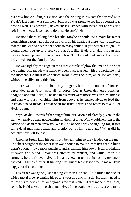his brow line clouding his vision, and the ringing in his ears that started with Freak's last punch was still there, but Jason was proud to see his opponent was tired as well. His powerful, naked chest glistened with sweat, but he was also soft in the knees. Jason could do this. He *could* win.

He stood there, taking deep breaths. Maybe he could use a move his father taught him? Jason hated the bastard with all his heart, but there was no denying that the fucker had been right about so many things. If you weren't tough, life would chew you up and spit you out. Just like Hyde did. Had his fun and messed Jason up worse than he was before. Thinking of Hyde made Jason scan the crowds for the familiar face.

He was right by the cage, in the narrow circle of glow that made his bright eyes shine. His mouth was halfway open, face flushed with the excitement of the moment. He must have sensed Jason's eyes on him, as he looked back, without the silly smile this time.

There was no time to look any longer when the mountain of muscle descended upon Jason with all his force. Yet as Jason delivered punches, dodged slaps and kicks, all he had in his mind were those eyes on him. Intense and dark with lust, watching him from above as he sucked Hyde to feed that insatiable need inside. Throat open for brutal thrusts and ready to take all of Hyde's cum.

*Fight or die*, Jason's father taught him, but Jason had already given up the fight when Hyde truly noticed him for the first time. Why would he listen to the advice of a dead man anyway? What kind of pride was he fighting for, if that same dead man had beaten any dignity out of him years ago? What did he actually have left to lose?

Jason let Freak kick his feet from beneath him so they landed on the mat. The sheer weight of the other man was enough to make him starve for air, but it wasn't enough. Two more punches, and Freak had him down. Heavy, stinking of sweat and blood, Freak was already triumphant, and while Jason did struggle, he didn't even give it his all, chewing on his lips as his opponent twisted his limbs further. It fucking hurt, but at least Jason would make Hyde happy for the last time.

His father was gone, just a fading voice in his head. He'd killed the fucker with a metal pipe, avenging his poor, sweet dog and himself. He didn't need to follow his father's rules, or anyone's for that matter. If that made him a loser, so be it. He'd take all the shit from Hyde if he could be his at least one more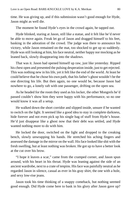time. He was giving up, and if this submission wasn't good enough for Hyde, Jason might as well die.

The moment he found Hyde's eyes in the crowd again, he tapped out.

Hyde blinked, staring at Jason, still like a statue, and it felt like he'd never be able to move again. Freak let go of Jason and dragged himself to his feet, basking in the adoration of the crowd. The judge was there to announce his victory, while Jason remained on the mat, too shocked to get up so suddenly. Hyde was still looking at him, his face neutral, neither happy nor mocking as he leaned back, slowly disappearing into the shadows.

That was it. Jason had opened himself up raw, just like yesterday. Ripped his chest open and presented the pulsing desperation inside, just to get rejected. This was nothing new in his life, yet it felt like the end of the world. At least he could believe that he chose his own path, that his father's ghost wouldn't be the one directing his life. But then again, no one would be, because Jason had nowhere to go, a lonely raft with one passenger, drifting on the open sea.

As he headed for the room they used as his locker, the other Mongrels he'd passed couldn't show him they were happy with his performance, so no one would know it was all a setup.

He walked down the short corridor and slipped inside, unsure if he wanted to switch on the light. It seemed like a good idea to stay in complete darkness, hide forever and not even pick up his single bag of stuff from Hyde's house. He'd just disappear like a ghost now that their debt was settled, and Hyde wanted nothing more to do with him.

He locked the door, switched on the light and dropped to the creaking bench, slowly unwrapping his hands. He stretched his aching fingers and assessed the damage in the mirror on the wall. His face looked like shit with the fresh swelling, but at least nothing was broken. He got up to have a better look at the cut over his brow.

"I hope it leaves a scar," came from the cramped corner, and Jason spun around, with his heart in his throat. Hyde was leaning against the side of an ancient wardrobe, next to a crate of tenpins. His face was painfully neutral as he regarded Jason in silence, casual as ever in his gray shirt, the one with a hole, and sexy low-rise jeans.

Jason took his time thinking of a snappy comeback, but nothing seemed good enough. Did Hyde come here to bask in his glory after Jason gave up?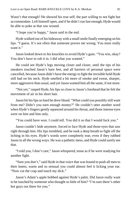Wasn't *that* enough? He showed his true self, the part willing to not fight but accommodate. Left himself open, and if he didn't run fast enough, Hyde would be able to poke at that raw wound.

"I hope you're happy," Jason said in the end.

Hyde walked out of his hideaway with a small smile finally emerging on his lips. "I guess. It's not often that someone proves me wrong. You must really want it."

Jason looked down to his knuckles to avoid Hyde's gaze. "You win, okay? You don't have to rub it in. I did what you wanted."

He could see Hyde's legs moving closer and closer, until the tips of his sneakers touched Jason's bare feet, and all barriers of personal space were cancelled, because Jason didn't have the energy to fight the invisible hold Hyde still had on his neck. Hyde smelled a bit more of smoke and sweat, sharper, more aggressive than usual, and yet Jason wanted him all the same, if not more.

"Not yet," rasped Hyde, his lips so close to Jason's forehead that he felt the movement of air in his short hair.

Jason bit his lips so hard he drew blood. "What could you possibly still want from me? Didn't you earn enough money?" He couldn't utter another word when Hyde's fingers gently squeezed around his throat, and those intense eyes were on him and him only.

"You could have won. I could tell. You did it so that I would fuck you."

Jason couldn't hide anymore, forced to face Hyde and those eyes that saw right through him. His lips trembled, and he took a deep breath to fight off the itching in his eyes. Hyde's words were completely true, even if they rubbed Jason in all the wrong ways. He was a pathetic mess, and Hyde could surely see that.

"I told you, I don't care," Jason whispered, tense as if he were readying for another fight.

"Sure you don't," said Hyde in that voice that was bound to push all men to their knees, warm and so sensual you could almost feel it licking your ear. "Now cut the crap and touch my dick."

Jason's Adam's apple bobbed against Hyde's palm. Did Jason really want to be touched by someone who thought so little of him? "I'm sure there's other hot guys out there for you."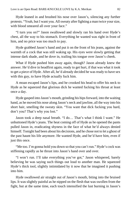Hyde leaned in and brushed his nose over Jason's, silencing any further protests. "Yeah, but I want you. All sweaty after fighting a man twice your size, with blood smeared all over your face."

"I turn you on?" Jason swallowed and slowly ran his hand over Hyde's chest, all the way to his stomach. Everything he wanted was right in front of him, and no price was too much to pay.

Hyde grabbed Jason's hand and put it on the front of his jeans, against the warmth of a cock that was still waking up. His eyes were slowly getting that intense dark shade, and he dove in, trailing his tongue over Jason's cheek.

What if Hyde pushed him away again, though? Jason already knew the answer. He'd dive in headfirst again, ready to get hurt, if that was what it took to get a piece of Hyde. After all, he'd already decided he was ready to have sex with this guy, to have Hyde actually fuck him.

A moan escaped Jason's lips, and he crooked his head to offer his neck to Hyde as he squeezed that glorious dick he wanted fucking his throat at least once a day.

Hyde gasped into Jason's mouth, grinding his hips forward, into the waiting hand, as he moved his nose along Jason's neck and jawline, all the way into his short hair, smelling the sweaty skin. "You want that dick fucking you hard, don't you? That's why you lost."

Jason took a deep nasal breath. "I do… That's what I think I want." He unbuttoned Hyde's jeans. The heat coming off of Hyde as he opened the pants pulled Jason in, eradicating shyness in the face of what he'd always denied himself. Tonight had been about his decisions, and he chose not to let a ghost of the past haunt his life anymore. He wanted Hyde, and he'd have him, even if just this once.

"Me too. I'm gonna hold you down so that you can't run." Hyde's cock was stiffening rapidly as he thrust into Jason's hand over and over.

"I won't run. I'll take everything you've got," Jason whispered, barely believing he was saying such things out loud to another man. He squeezed Hyde's thick tool, slightly intimidated by it now that he imagined it pushing into him.

Hyde swallowed air straight out of Jason's mouth, biting into the bruised lips. It was slightly painful as he nipped on the flesh that was swollen from the fight, but at the same time, each touch intensified the lust burning in Jason's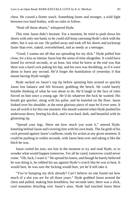chest. He craved a firmer touch. Something faster and stronger, a wild fight between two hard bodies, with no rules to follow.

"Push off those shorts," whispered Hyde.

This time Jason didn't hesitate. For a moment, he tried to push down his shorts with only one hand, so he could still keep caressing Hyde's dick with the other, but it was no use. He pulled away and took off his shorts and jockstrap faster than ever, naked, overwhelmed, and as needy as a teenager.

"Good, I wanna see all that ass spreading for my dick." Hyde pulled him close, for a kiss so intense Jason lost the sense of time altogether. It could have lasted for several seconds, or an hour, but what he knew at the end was that there was a hard cock poking his hip, and his own was throbbing, as if it were about to burst any second. He'd forget the humiliation of yesterday if that meant having Hyde tonight.

Hyde sucked on Jason's top lip before spinning him around so quickly Jason lost balance and fell forward, grabbing the bench. He could barely breathe thinking of what he was about to do. He'd laugh in the face of rules forced on him since a young age. He'd do whatever the fuck he wanted. His breath got quicker, along with his pulse, and he kneeled on the floor. Jason looked over his shoulder, at the most glorious piece of man he'd ever seen. It was all worth it for this one moment. His mouth watered when Hyde pushed his underwear down, freeing his dick, and it was hard, dark, and beautiful with its glistening tip.

"Spread your legs. Show me how much you want it," uttered Hyde, kneeling behind Jason and covering him with his own body. The fat girth of his cock pressed against Jason's tailbone, ready for action at any given moment. It could be pushing in within seconds, with Jason bent over and taking it like the bitch he was.

Jason curled his toes, too lost in the moment to try and read Hyde, or to wonder what would happen tomorrow. For all he cared, tomorrow could never come. "Oh, fuck, I want it." He spread his knees, and though he barely believed he was doing it, he rubbed his ass against Hyde's crotch like he was in heat. It would hurt, he was sure the fucking would hurt, yet he'd still take it.

"You're humping my dick already? Can't believe no one found out how much of a slut you are for all those years." Hyde grabbed Jason around the chest and pulled, making him breathless, but seconds later, there was a slick, cool sensation drizzling over Jason's anus. Hyde had touched Jason there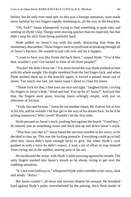before, but he only ever used spit, so this was a foreign sensation, soon made more familiar by two fingers rapidly slamming in, all the way to the knuckles.

"Oh, fuck!" Jason whimpered, trying to find something to grab onto and settling on Hyde's hip. Things were moving quicker than he expected, but that didn't stop his dick from being painfully hard.

Hyde pulled on Jason's ear with his teeth, distracting him from the momentary discomfort. Those fingers were so proficient at breaking through all of Jason's barriers. He wanted to just roll over and let it happen.

"I want to have you like Freak did back there," rasped Hyde. "You'd like that, wouldn't you? Get fucked in front of all those people?"

"Fucker! He didn't *have* me." Yet Jason loved the way Hyde pushed on him with his whole weight. His thighs trembled from the fast finger-fuck, and when Hyde pushed them up to the knuckle again, it forced a pained moan out of Jason. Too much, too fast, yet Jason wasn't about to close his knees.

"Thank fuck for that, I like your ass nice and tight," laughed Hyde, circling his fingers in Jason's hole. "Hard and fast. You up for it? Jason?" And just like that, the fingers were gone, leaving Jason achingly empty, with just an aftertaste of friction.

"Yeah, fast and furious." Jason let out another moan. He'd never felt as free in his life, and he wouldn't let fear get in the way of his dream fuck. So he'd be aching tomorrow? Who cared? Wouldn't be the first time.

Hyde pressed on Jason's neck, pushing him against the bench. "Good boy," he uttered, just as something warm and thick slid up and down Jason's crack.

"That how you like it?" Jason hated the nervous tremble in his voice, so he decided to shut up. This was the fucking pinnacle. Everything could go to hell after this. Jason didn't have enough fucks to give, but when Hyde's cock pushed in with a force he didn't expect, it took a lot of effort to stop himself from crying out at the sudden, searing pain in his ass.

He swallowed the noise, with Hyde's palm pressing against his mouth. The salty fingers pushed into Jason's mouth as he shook, trying to get over the stabbing sensation.

"It's not even halfway in," whispered Hyde with a tremble to his voice, dark and needy. "Relax."

But Jason couldn't, all tense and anxious despite his arousal. He breathed hard against Hyde's palm, overwhelmed by the pulsing, thick flesh inside of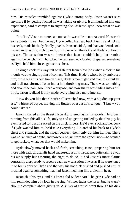him. His muscles trembled against Hyde's strong body. Jason wasn't sure anymore if by getting fucked he was taking or giving. It all muddled into one experience, hard to compare to anything else. At least Hyde knew what he was doing.

"It's fine," Jason muttered as soon as he was able to utter a word. He wasn't some dainty flower, but the way Hyde pulled his head back, kissing and licking his neck, made his body finally give in. Pain subsided, and that wonderful cock moved in. Steadily, inch by inch, until Jason felt the tickle of Hyde's pubes on his ass. The sensation was so intense that Jason couldn't help but tremble against the bench. It still hurt, but the pain seemed clouded, dispersed somehow as Hyde held him close against his chest.

Taking a cock this way felt so different from blow jobs when a dick in his mouth was the single point of contact. This time, Hyde's whole body embraced him, those big arms held him in place, Hyde's mouth ghosted over his shoulder, and it all transformed Jason into a hot, throbbing mess. There was something odd about the pain, too. It had a purpose, and now that it was fading into a dull throb, Jason realized it only made everything else more intense.

"How do you like that? You're all stretched now, with a big dick up your ass," whispered Hyde, moving his fingers over Jason's tongue. "I knew you could take it."

Jason moaned at the thrust Hyde did to emphasize his words. He'd been running from this all his life, only to end up getting fucked by the first guy he ever lusted for. Jason sucked on the thick fingers. He'd even suck another cock if Hyde wanted him to, he'd take everything. He arched his back to Hyde's chest and stomach, and the sweat between them only got him hornier. There was not an inch of doubt, and nowhere to run from the conclusion—he wanted to get fucked, whatever that would make him.

Hyde slowly moved back and forth, stretching Jason, preparing him for more with each thrust. His hand squeezed Jason's throat, not quite taking away his air supply but asserting the right to do so. It had Jason's inner alarms constantly alert, ready to receive each new sensation. It was as if he were tuned in to focus only on Hyde and the way his hot dick pushed and pushed until it brushed against something that had Jason moaning like a bitch in heat.

Jason shut his eyes, and his knees slid wider apart. The grip Hyde had on him reminded him of a lock in the ring. Winner fucks the loser, but he wasn't about to complain about giving in. A shiver of arousal went through his dick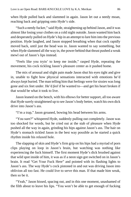when Hyde pulled back and slammed in again. Jason let out a needy moan, reaching back and gripping onto Hyde's side.

"Such a needy fucker," said Hyde, straightening up behind Jason, and it was almost like losing your clothes on a cold night outside. Jason wanted him back and desperately pulled on Hyde's hip in an attempt to lure him into the previous position. Hyde laughed, and Jason stopped breathing when that cock rapidly moved back, until just the head was in. Jason wanted to say something, but when Hyde slammed all the way in, the power behind that thrust pushed a weak mewl out of Jason's lips instead.

"Feels like you tryin' to keep me inside," rasped Hyde, repeating the movement, his cock tickling Jason's pleasure center as it pushed home.

The mix of arousal and slight pain made Jason shut his eyes tight and give in, unable to fight how physical sensations interacted with emotions he'd always kept buried. The man telling him that feelings were for sissies was long gone and six feet under. He'd *feel* if he wanted to—and get his heart broken if that would be what it took to live.

Jason leaned on the bench, with his elbows for better support, all too aware that Hyde surely straightened up to see Jason's body better, watch his own dick drive into Jason's ass.

"I'm a trap," Jason groaned, bowing his head between his arms.

"You sure?" whispered Hyde, suddenly pulling out completely. Jason was too shocked for words, but he cried out at the stab of pleasure when Hyde pushed all the way in again, grinding his hips against Jason's ass. The hair on Hyde's stomach tickled Jason in the best way possible as he started a quick rhythm inside his relaxed hole.

The slapping of skin and Hyde's firm grip on his hips had a myriad of porn clips playing on loop in Jason's brain, but watching was nothing like experiencing the fuck himself. The first moment Hyde's dick brushed against that wild spot inside of him, it was as if a neon sign got switched on in Jason's brain. It read "Get Your Fuck Here" and pointed with its flashing lights to Jason's ass. The way Hyde's cock pistoned in and out was driving Jason into oblivion all too fast. He could live to serve this man. If that made him weak, then so be it.

"Yeah," Jason hissed, spacing out, and in this one moment, unashamed of the filth about to leave his lips. "You won't be able to get enough of fucking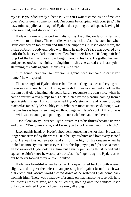my ass. Is your dick ready? I bet it is. You can't wait to come inside of me, can you? You're gonna come so hard, I'm gonna be dripping with your jizz." His hazy mind supplied an image of Hyde's dick pulling out all spent, leaving his hole sore, red, and sticky with cum.

Hyde withdrew with a loud animalistic hiss. He pulled on Jason's flesh and threw him to the floor. The cold tiles were a shock to Jason's back, but when Hyde climbed on top of him and filled the emptiness in Jason once more, the inside of Jason's body exploded with liquid heat. Hyde's face was covered by a dark flush, his eyes dark, mouth swollen from their kisses. His long hair had long lost the band and was now hanging around his face. He gritted his teeth and pushed on Jason's thighs, folding him in half as he started a furious rhythm, slamming his balls against Jason's ass like a pro.

"I'm gonna leave you so sore you're gonna need someone to carry you home," he whispered.

The new angle of Hyde's thrusts had Jason curling his toes and crying out. It was easier to reach his dick now, so he didn't hesitate and jerked off in the rhythm of Hyde's fucking. He could barely recognize his own voice when he came after just a few pumps to his dick, fueled by the pleasure coming from a spot inside his ass. His cum splashed Hyde's stomach, and a few droplets reached as far as Hyde's stubbly chin. What was more unexpected, though, was the way his ass began clenching and throbbing over Hyde's cock. All Jason was left with was moaning and panting, too overwhelmed and incoherent.

"Don't look away," warned Hyde, breathless as his thrusts became uneven and brash. "I'm gonna come, and I want you to look at me, you little bitch."

Jason put his hands on Hyde's shoulders, squeezing the hot flesh. He was no longer embarrassed by the words. He'd be Hyde's bitch and love every second of it. He was flushed, sweaty, and still on the high of his orgasm when he looked up into Hyde's intense eyes. He bit his lips, trying to fight back a moan, all too aware of Hyde looking at him, but a sharp, punishing thrust forced out a squeal he didn't know he was capable of. Jason's fingers dug into Hyde's arms, but he never looked away or even blinked.

Hyde was beautiful when he came. His eyes rolled back, mouth opened slightly, and he gave the tiniest moan, pressing hard against Jason's ass. It was a *moment*, and Jason's world slowed down as he watched Hyde come back from his high. There was a shadow of a smile on that handsome face. His hold on Jason's limbs relaxed, and he pulled out, holding onto the condom Jason only now realized Hyde had been wearing all along.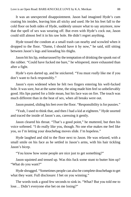It was an unexpected disappointment. Jason had imagined Hyde's cum coating his insides, leaving him all sticky and used. He let his feet fall to the cold floor on both sides of Hyde, suddenly unsure what to say anymore, now that the spell of sex was wearing off. But even with Hyde's cock out, Jason could still almost feel it in his raw hole. He didn't regret anything.

Hyde tossed the condom at a small trash can nearby and scowled when it dropped to the floor. "Damn, I should have it by now," he said, still sitting between Jason's legs and kneading his thighs.

Jason bit his lip, embarrassed by the temptation of drinking the spunk out of the rubber. "Could have fucked me bare," he whispered, more exhausted than after a fight.

Hyde's eyes darted up, and he snickered. "You must *really* like me if you don't want to fuck responsibly."

Jason's eyes widened when he felt two fingers entering his well-fucked hole. It was sore, but at the same time, the sting made him feel so unbelievably good. His lips parted for a little moan, but his face was on fire. The touch was much different than in the heat of sex, when all breaks were out.

Jason pouted, sliding his feet over the floor. "Responsibility is for pussies."

"Yeah, I used to think that, and then I had a kid at eighteen." Hyde snorted and traced the inside of Jason's ass, caressing it gently.

Jason cleared his throat. "That's a good point," he muttered, but then his voice softened. "I do really like you, though. No one else makes me feel like you, so I'm letting your douchebag moves slide. I'm hopeless."

Hyde laughed and slid to the floor next to Jason. He was relaxed, with a small smile on his face as he settled in Jason's arms, with his hair tickling Jason's bicep.

"You know how some people are nice just to get something?"

Jason squinted and tensed up. Was this fuck some stunt to butter him up? "What do you want?"

Hyde shrugged. "Sometimes people can also be complete douchebags to get what they want. Full disclosure: I bet on you winning."

The words took a good few seconds to sink in. "What? But you told me to lose… Didn't everyone else bet on me losing?"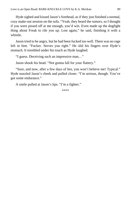Hyde sighed and kissed Jason's forehead, as if they just finished a normal, cozy make-out session on the sofa. "Yeah, they heard the rumors, so I thought if you were pissed off at me enough, you'd win. Even made up the dogfight thing about Freak to rile you up. Lost again," he said, finishing it with a whistle.

Jason tried to be angry, but he had been fucked too well. There was no rage left in him. "Fucker. Serves you right." He slid his fingers over Hyde's stomach. It trembled under his touch as Hyde laughed.

"I guess. Deceiving such an impressive man…"

Jason shook his head. "Not gonna fall for your flattery."

"Sure, and now, after a few days of lies, you won't believe me! Typical." Hyde nuzzled Jason's cheek and pulled closer. "I'm serious, though. You've got some endurance."

A smile pulled at Jason's lips. "I'm a fighter."

\*\*\*\*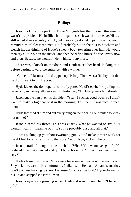# **Epilogue**

Jason took his time packing. If the Mongrels lost their money this time, it wasn't his problem. He fulfilled his obligations, so it was time to leave. His ass still ached after yesterday's fuck, but it was a good kind of pain, one that would remind him of pleasant times. He'd probably sit on the bus to nowhere and clench his ass thinking of Hyde's sweaty body towering over him. He would then cry a little bit on the inside, and then he'd find himself a fuck every now and then. Because he wouldn't deny himself anymore.

There was a knock on the door, and Heidi raised her head, looking at it, before darting toward the entrance with a whine.

"Come in!" Jason said and zipped up his bag. There was a finality to it that he didn't want to think about.

Hyde kicked the door open and briefly petted Heidi's ear before pulling in a large box, and an equally enormous plastic bag. "Hi. Everyone's left already."

Jason put the bag over his shoulder. "Yeah, I suck at good-byes, so I didn't want to make a big deal of it in the morning. Tell them it was nice to meet them."

Hyde frowned at him and put everything on the floor. "You wanted to sneak out on me?"

Jason cleared his throat. This was exactly what he wanted to avoid. "I wouldn't call it 'sneaking out' …You're probably busy and all that."

"I was picking up your housewarming gift. You'd make it more work for me if I had to return all this to the store," said Hyde, kicking the box.

Jason's trail of thought came to a halt. "What? You wanna *keep* me?" He realized how that sounded and quickly rephrased it. "I mean, you want me to stay?"

Hyde cleared his throat. "It's a nice bedroom set, made with actual down. So you know, we can be comfortable. I talked with Beth and Amanda, and they don't want me fucking upstairs. Because Cody. I can be loud." Hyde chewed on his lip and stepped closer to Jason.

Jason's eyes were growing wider. Hyde did want to keep him. "I have no job."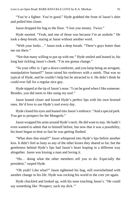"You're a fighter. You're good." Hyde grabbed the front of Jason's shirt and pulled him closer.

Jason dropped his bag to the floor. "I lost you money. Twice."

Hyde snorted. "Yeah, and one of those was because I'm an asshole." He took a deep breath, staring at Jason without another word.

"With your looks…" Jason took a deep breath. "There's guys hotter than me out there."

"Not that many willing to put up with me." Hyde smiled and leaned in, his long hair tickling Jason's cheek. "I'm not gonna change."

"So your offer is: I get a down comforter, and you keep being an arrogant, manipulative bastard?" Jason raised his eyebrows with a smirk. That was so typical of Hyde, and he couldn't help but be attracted to it. He didn't think he could ever fall for a regular nice guy.

Hyde nipped at the tip of Jason's nose. "I can be good when I like someone. Besides, you did seem to like using my *tool*."

Jason leaned closer and kissed Hyde's perfect lips with his own bruised ones. He'd love to use Hyde's tool every day.

Hyde closed his eyes and leaned into Jason's embrace. "And a special perk. You get to prospect for the Mongrels."

Jason wrapped his arms around Hyde's neck. He did want to stay. He hadn't even wanted to admit that to himself before, but now that it was a possibility, his heart began to beat so fast he was getting flushed.

"What does that entail?" Jason whispered into Hyde's lips before another kiss. It didn't feel as lusty as any of the other kisses they shared so far, but the gentleness behind Hyde's lips had Jason's heart leaping in a different way altogether. Jason was kissing a man and loving it.

"Hn… doing what the other members tell you to do. Especially the president," rasped Hyde.

"Oh yeah? Like what?" Jason tightened his hug, still overwhelmed with another change in his life. Hyde was rocking his world to the core yet again.

Hyde chuckled and looked up, with his nose touching Jason's. "He could say something like 'Prospect, suck my dick.'"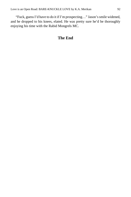"Fuck, guess I'd have to do it if I'm prospecting…" Jason's smile widened, and he dropped to his knees, elated. He was pretty sure he'd be thoroughly enjoying his time with the Rabid Mongrels MC.

### **The End**